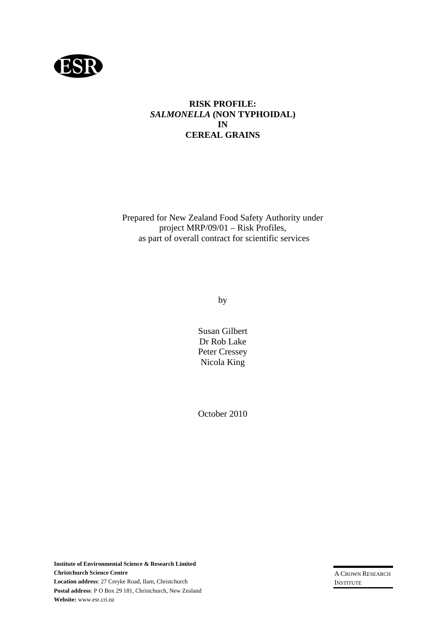

#### **RISK PROFILE:**  *SALMONELLA* **(NON TYPHOIDAL) IN CEREAL GRAINS**

Prepared for New Zealand Food Safety Authority under project MRP/09/01 – Risk Profiles, as part of overall contract for scientific services

by

Susan Gilbert Dr Rob Lake Peter Cressey Nicola King

October 2010

A CROWN RESEARCH INSTITUTE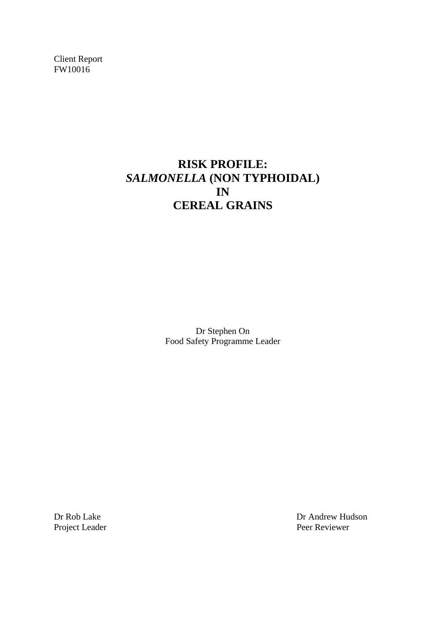Client Report FW10016

# **RISK PROFILE:**  *SALMONELLA* **(NON TYPHOIDAL)** **IN CEREAL GRAINS**

Dr Stephen On Food Safety Programme Leader

Dr Rob Lake Dr Andrew Hudson Project Leader Peer Reviewer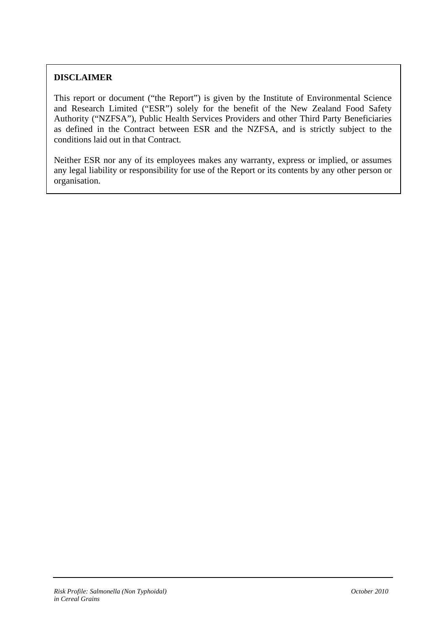## **DISCLAIMER**

This report or document ("the Report") is given by the Institute of Environmental Science and Research Limited ("ESR") solely for the benefit of the New Zealand Food Safety Authority ("NZFSA"), Public Health Services Providers and other Third Party Beneficiaries as defined in the Contract between ESR and the NZFSA, and is strictly subject to the conditions laid out in that Contract.

Neither ESR nor any of its employees makes any warranty, express or implied, or assumes any legal liability or responsibility for use of the Report or its contents by any other person or organisation.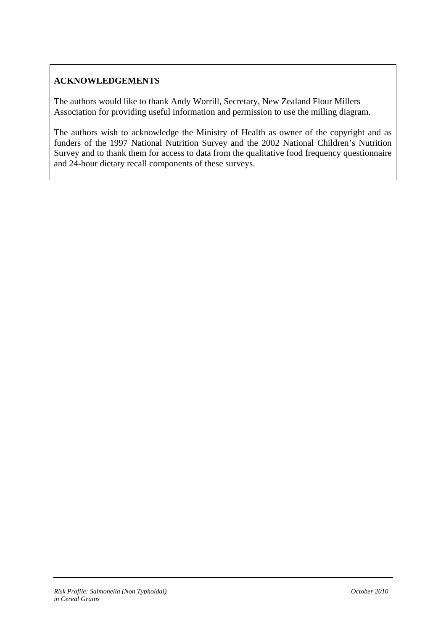## **ACKNOWLEDGEMENTS**

The authors would like to thank Andy Worrill, Secretary, New Zealand Flour Millers Association for providing useful information and permission to use the milling diagram.

The authors wish to acknowledge the Ministry of Health as owner of the copyright and as funders of the 1997 National Nutrition Survey and the 2002 National Children's Nutrition Survey and to thank them for access to data from the qualitative food frequency questionnaire and 24-hour dietary recall components of these surveys.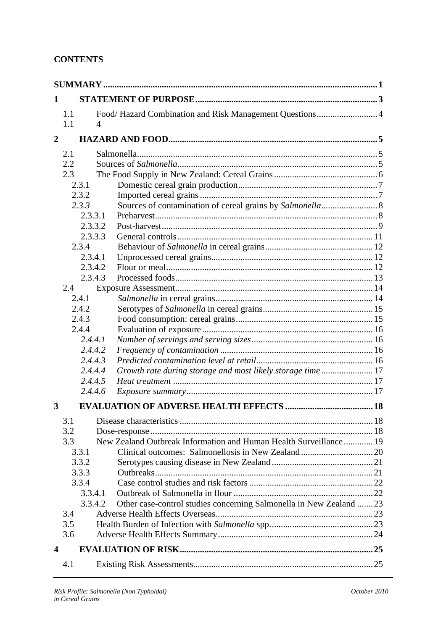## **CONTENTS**

| 1              |                       |                                                                    |  |  |  |  |
|----------------|-----------------------|--------------------------------------------------------------------|--|--|--|--|
|                | 1.1                   | Food/Hazard Combination and Risk Management Questions 4            |  |  |  |  |
|                | 1.1<br>$\overline{4}$ |                                                                    |  |  |  |  |
| $\overline{2}$ |                       |                                                                    |  |  |  |  |
|                | 2.1                   |                                                                    |  |  |  |  |
|                | 2.2                   |                                                                    |  |  |  |  |
|                | 2.3                   |                                                                    |  |  |  |  |
|                | 2.3.1                 |                                                                    |  |  |  |  |
|                | 2.3.2                 |                                                                    |  |  |  |  |
|                | 2.3.3                 | Sources of contamination of cereal grains by Salmonella 8          |  |  |  |  |
|                | 2.3.3.1               |                                                                    |  |  |  |  |
|                | 2.3.3.2               |                                                                    |  |  |  |  |
|                | 2.3.3.3               |                                                                    |  |  |  |  |
|                | 2.3.4                 |                                                                    |  |  |  |  |
|                | 2.3.4.1               |                                                                    |  |  |  |  |
|                | 2.3.4.2               |                                                                    |  |  |  |  |
|                | 2.3.4.3               |                                                                    |  |  |  |  |
|                | 2.4                   |                                                                    |  |  |  |  |
|                | 2.4.1                 |                                                                    |  |  |  |  |
|                | 2.4.2                 |                                                                    |  |  |  |  |
|                | 2.4.3                 |                                                                    |  |  |  |  |
|                | 2.4.4                 |                                                                    |  |  |  |  |
|                | 2.4.4.1               |                                                                    |  |  |  |  |
|                | 2.4.4.2               |                                                                    |  |  |  |  |
|                | 2.4.4.3               |                                                                    |  |  |  |  |
|                | 2.4.4.4               | Growth rate during storage and most likely storage time17          |  |  |  |  |
|                | 2.4.4.5               |                                                                    |  |  |  |  |
|                | 2.4.4.6               |                                                                    |  |  |  |  |
| 3              |                       |                                                                    |  |  |  |  |
|                | 3.1                   |                                                                    |  |  |  |  |
|                | 3.2                   |                                                                    |  |  |  |  |
|                | 3.3                   | New Zealand Outbreak Information and Human Health Surveillance 19  |  |  |  |  |
|                | 3.3.1                 |                                                                    |  |  |  |  |
|                | 3.3.2                 |                                                                    |  |  |  |  |
|                | 3.3.3                 |                                                                    |  |  |  |  |
| 3.3.4          |                       |                                                                    |  |  |  |  |
| 3.3.4.1        |                       |                                                                    |  |  |  |  |
|                | 3.3.4.2               | Other case-control studies concerning Salmonella in New Zealand 23 |  |  |  |  |
|                | 3.4                   |                                                                    |  |  |  |  |
|                | 3.5                   |                                                                    |  |  |  |  |
|                | 3.6                   |                                                                    |  |  |  |  |
| 4              |                       |                                                                    |  |  |  |  |
|                | 4.1                   |                                                                    |  |  |  |  |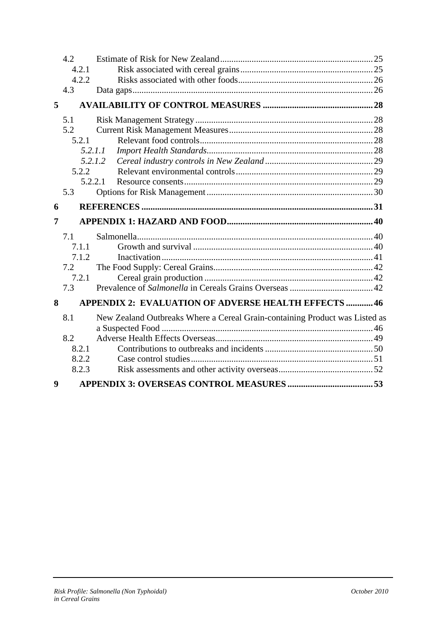|                  | 4.2     |                                                                             |  |
|------------------|---------|-----------------------------------------------------------------------------|--|
|                  | 4.2.1   |                                                                             |  |
|                  | 4.2.2   |                                                                             |  |
|                  | 4.3     |                                                                             |  |
| 5                |         |                                                                             |  |
|                  | 5.1     |                                                                             |  |
|                  | 5.2     |                                                                             |  |
|                  | 5.2.1   |                                                                             |  |
|                  | 5.2.1.1 |                                                                             |  |
|                  | 5.2.1.2 |                                                                             |  |
|                  | 5.2.2   |                                                                             |  |
|                  | 5.2.2.1 |                                                                             |  |
|                  | 5.3     |                                                                             |  |
| 6                |         |                                                                             |  |
| 7                |         |                                                                             |  |
|                  | 7.1     |                                                                             |  |
|                  | 7.1.1   |                                                                             |  |
|                  | 7.1.2   |                                                                             |  |
|                  | 7.2     |                                                                             |  |
|                  | 7.2.1   |                                                                             |  |
|                  | 7.3     |                                                                             |  |
| 8                |         | <b>APPENDIX 2: EVALUATION OF ADVERSE HEALTH EFFECTS  46</b>                 |  |
|                  | 8.1     | New Zealand Outbreaks Where a Cereal Grain-containing Product was Listed as |  |
|                  |         |                                                                             |  |
|                  | 8.2     |                                                                             |  |
|                  | 8.2.1   |                                                                             |  |
|                  | 8.2.2   |                                                                             |  |
|                  | 8.2.3   |                                                                             |  |
| $\boldsymbol{9}$ |         |                                                                             |  |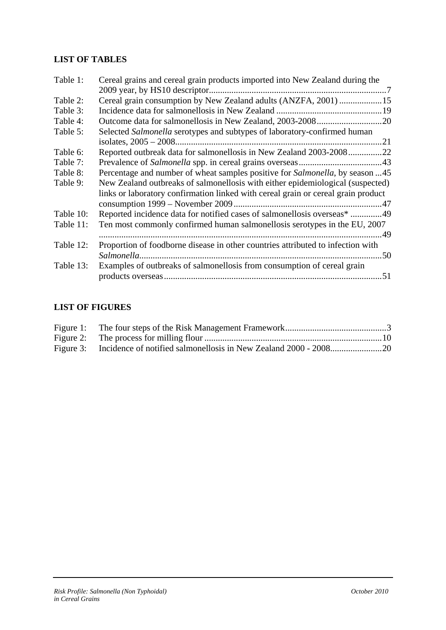## **LIST OF TABLES**

| Table 1:  | Cereal grains and cereal grain products imported into New Zealand during the      |
|-----------|-----------------------------------------------------------------------------------|
|           |                                                                                   |
| Table 2:  | Cereal grain consumption by New Zealand adults (ANZFA, 2001) 15                   |
| Table 3:  |                                                                                   |
| Table 4:  |                                                                                   |
| Table 5:  | Selected Salmonella serotypes and subtypes of laboratory-confirmed human          |
|           |                                                                                   |
| Table 6:  | Reported outbreak data for salmonellosis in New Zealand 2003-200822               |
| Table 7:  |                                                                                   |
| Table 8:  | Percentage and number of wheat samples positive for Salmonella, by season 45      |
| Table 9:  | New Zealand outbreaks of salmonellosis with either epidemiological (suspected)    |
|           | links or laboratory confirmation linked with cereal grain or cereal grain product |
|           |                                                                                   |
| Table 10: | Reported incidence data for notified cases of salmonellosis overseas* 49          |
| Table 11: | Ten most commonly confirmed human salmonellosis serotypes in the EU, 2007         |
|           |                                                                                   |
| Table 12: | Proportion of foodborne disease in other countries attributed to infection with   |
|           |                                                                                   |
| Table 13: | Examples of outbreaks of salmonellosis from consumption of cereal grain           |
|           |                                                                                   |

## **LIST OF FIGURES**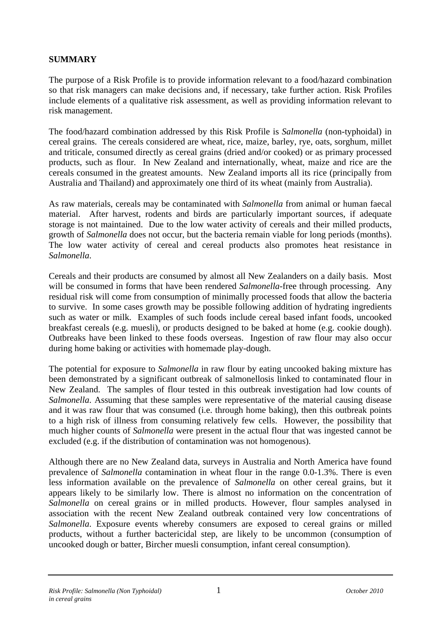## <span id="page-7-0"></span>**SUMMARY**

The purpose of a Risk Profile is to provide information relevant to a food/hazard combination so that risk managers can make decisions and, if necessary, take further action. Risk Profiles include elements of a qualitative risk assessment, as well as providing information relevant to risk management.

The food/hazard combination addressed by this Risk Profile is *Salmonella* (non-typhoidal) in cereal grains. The cereals considered are wheat, rice, maize, barley, rye, oats, sorghum, millet and triticale, consumed directly as cereal grains (dried and/or cooked) or as primary processed products, such as flour. In New Zealand and internationally, wheat, maize and rice are the cereals consumed in the greatest amounts. New Zealand imports all its rice (principally from Australia and Thailand) and approximately one third of its wheat (mainly from Australia).

As raw materials, cereals may be contaminated with *Salmonella* from animal or human faecal material. After harvest, rodents and birds are particularly important sources, if adequate storage is not maintained. Due to the low water activity of cereals and their milled products, growth of *Salmonella* does not occur, but the bacteria remain viable for long periods (months). The low water activity of cereal and cereal products also promotes heat resistance in *Salmonella*.

Cereals and their products are consumed by almost all New Zealanders on a daily basis. Most will be consumed in forms that have been rendered *Salmonella*-free through processing. Any residual risk will come from consumption of minimally processed foods that allow the bacteria to survive. In some cases growth may be possible following addition of hydrating ingredients such as water or milk. Examples of such foods include cereal based infant foods, uncooked breakfast cereals (e.g. muesli), or products designed to be baked at home (e.g. cookie dough). Outbreaks have been linked to these foods overseas. Ingestion of raw flour may also occur during home baking or activities with homemade play-dough.

The potential for exposure to *Salmonella* in raw flour by eating uncooked baking mixture has been demonstrated by a significant outbreak of salmonellosis linked to contaminated flour in New Zealand. The samples of flour tested in this outbreak investigation had low counts of *Salmonella*. Assuming that these samples were representative of the material causing disease and it was raw flour that was consumed (i.e. through home baking), then this outbreak points to a high risk of illness from consuming relatively few cells. However, the possibility that much higher counts of *Salmonella* were present in the actual flour that was ingested cannot be excluded (e.g. if the distribution of contamination was not homogenous).

Although there are no New Zealand data, surveys in Australia and North America have found prevalence of *Salmonella* contamination in wheat flour in the range 0.0-1.3%. There is even less information available on the prevalence of *Salmonella* on other cereal grains, but it appears likely to be similarly low. There is almost no information on the concentration of *Salmonella* on cereal grains or in milled products. However, flour samples analysed in association with the recent New Zealand outbreak contained very low concentrations of *Salmonella*. Exposure events whereby consumers are exposed to cereal grains or milled products, without a further bactericidal step, are likely to be uncommon (consumption of uncooked dough or batter, Bircher muesli consumption, infant cereal consumption).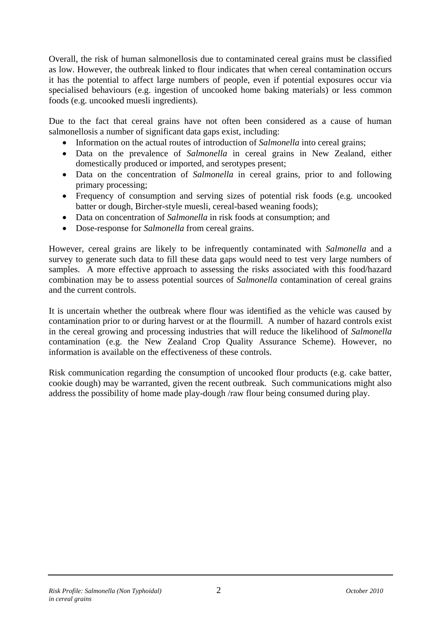Overall, the risk of human salmonellosis due to contaminated cereal grains must be classified as low. However, the outbreak linked to flour indicates that when cereal contamination occurs it has the potential to affect large numbers of people, even if potential exposures occur via specialised behaviours (e.g. ingestion of uncooked home baking materials) or less common foods (e.g. uncooked muesli ingredients).

Due to the fact that cereal grains have not often been considered as a cause of human salmonellosis a number of significant data gaps exist, including:

- Information on the actual routes of introduction of *Salmonella* into cereal grains;
- Data on the prevalence of *Salmonella* in cereal grains in New Zealand, either domestically produced or imported, and serotypes present;
- Data on the concentration of *Salmonella* in cereal grains, prior to and following primary processing;
- Frequency of consumption and serving sizes of potential risk foods (e.g. uncooked batter or dough, Bircher-style muesli, cereal-based weaning foods);
- Data on concentration of *Salmonella* in risk foods at consumption; and
- Dose-response for *Salmonella* from cereal grains.

However, cereal grains are likely to be infrequently contaminated with *Salmonella* and a survey to generate such data to fill these data gaps would need to test very large numbers of samples. A more effective approach to assessing the risks associated with this food/hazard combination may be to assess potential sources of *Salmonella* contamination of cereal grains and the current controls.

It is uncertain whether the outbreak where flour was identified as the vehicle was caused by contamination prior to or during harvest or at the flourmill. A number of hazard controls exist in the cereal growing and processing industries that will reduce the likelihood of *Salmonella* contamination (e.g. the New Zealand Crop Quality Assurance Scheme). However, no information is available on the effectiveness of these controls.

Risk communication regarding the consumption of uncooked flour products (e.g. cake batter, cookie dough) may be warranted, given the recent outbreak. Such communications might also address the possibility of home made play-dough /raw flour being consumed during play.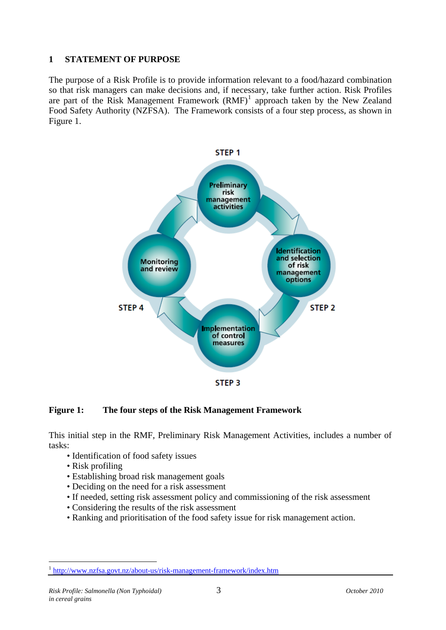#### <span id="page-9-0"></span>**1 STATEMENT OF PURPOSE**

The purpose of a Risk Profile is to provide information relevant to a food/hazard combination so that risk managers can make decisions and, if necessary, take further action. Risk Profiles are part of the Risk Management Framework  $(RMF)^1$  $(RMF)^1$  approach taken by the New Zealand Food Safety Authority (NZFSA). The Framework consists of a four step process, as shown in Figure 1.



#### **Figure 1: The four steps of the Risk Management Framework**

This initial step in the RMF, Preliminary Risk Management Activities, includes a number of tasks:

- Identification of food safety issues
- Risk profiling
- Establishing broad risk management goals
- Deciding on the need for a risk assessment
- If needed, setting risk assessment policy and commissioning of the risk assessment
- Considering the results of the risk assessment
- Ranking and prioritisation of the food safety issue for risk management action.

<u>.</u>

<sup>1</sup> <http://www.nzfsa.govt.nz/about-us/risk-management-framework/index.htm>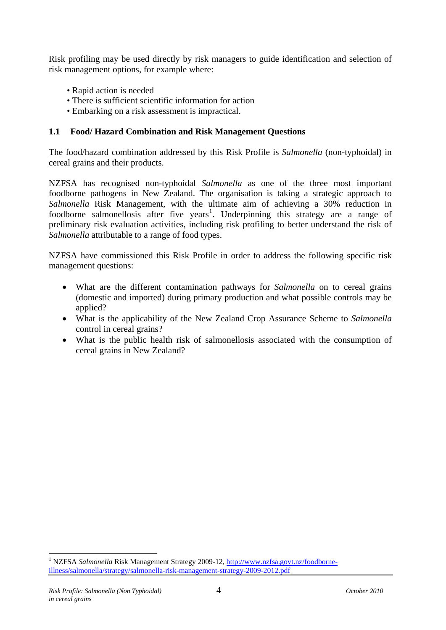<span id="page-10-0"></span>Risk profiling may be used directly by risk managers to guide identification and selection of risk management options, for example where:

- Rapid action is needed
- There is sufficient scientific information for action
- Embarking on a risk assessment is impractical.

#### **1.1 Food/ Hazard Combination and Risk Management Questions**

The food/hazard combination addressed by this Risk Profile is *Salmonella* (non-typhoidal) in cereal grains and their products.

NZFSA has recognised non-typhoidal *Salmonella* as one of the three most important foodborne pathogens in New Zealand. The organisation is taking a strategic approach to *Salmonella* Risk Management, with the ultimate aim of achieving a 30% reduction in foodborne salmonellosis after five years<sup>[1](#page-10-0)</sup>. Underpinning this strategy are a range of preliminary risk evaluation activities, including risk profiling to better understand the risk of *Salmonella* attributable to a range of food types.

NZFSA have commissioned this Risk Profile in order to address the following specific risk management questions:

- What are the different contamination pathways for *Salmonella* on to cereal grains (domestic and imported) during primary production and what possible controls may be applied?
- What is the applicability of the New Zealand Crop Assurance Scheme to *Salmonella* control in cereal grains?
- What is the public health risk of salmonellosis associated with the consumption of cereal grains in New Zealand?

1

<sup>&</sup>lt;sup>1</sup> NZFSA *Salmonella* Risk Management Strategy 2009-12, [http://www.nzfsa.govt.nz/foodborne](http://www.nzfsa.govt.nz/foodborne-illness/salmonella/strategy/salmonella-risk-management-strategy-2009-2012.pdf)[illness/salmonella/strategy/salmonella-risk-management-strategy-2009-2012.pdf](http://www.nzfsa.govt.nz/foodborne-illness/salmonella/strategy/salmonella-risk-management-strategy-2009-2012.pdf)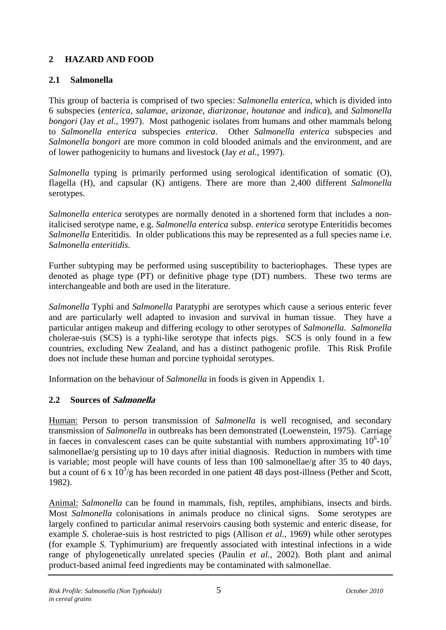## <span id="page-11-0"></span>**2 HAZARD AND FOOD**

## **2.1 Salmonella**

This group of bacteria is comprised of two species: *Salmonella enterica*, which is divided into 6 subspecies (*enterica, salamae, arizonae, diarizonae, houtanae* and *indica*), and *Salmonella bongori* (Jay *et al.*, 1997). Most pathogenic isolates from humans and other mammals belong to *Salmonella enterica* subspecies *enterica*. Other *Salmonella enterica* subspecies and *Salmonella bongori* are more common in cold blooded animals and the environment, and are of lower pathogenicity to humans and livestock (Jay *et al.*, 1997).

*Salmonella* typing is primarily performed using serological identification of somatic (O), flagella (H), and capsular (K) antigens. There are more than 2,400 different *Salmonella* serotypes.

*Salmonella enterica* serotypes are normally denoted in a shortened form that includes a nonitalicised serotype name, e.g. *Salmonella enterica* subsp. *enterica* serotype Enteritidis becomes *Salmonella* Enteritidis. In older publications this may be represented as a full species name i.e. *Salmonella enteritidis*.

Further subtyping may be performed using susceptibility to bacteriophages. These types are denoted as phage type (PT) or definitive phage type (DT) numbers. These two terms are interchangeable and both are used in the literature.

*Salmonella* Typhi and *Salmonella* Paratyphi are serotypes which cause a serious enteric fever and are particularly well adapted to invasion and survival in human tissue. They have a particular antigen makeup and differing ecology to other serotypes of *Salmonella*. *Salmonella* cholerae-suis (SCS) is a typhi-like serotype that infects pigs. SCS is only found in a few countries, excluding New Zealand, and has a distinct pathogenic profile. This Risk Profile does not include these human and porcine typhoidal serotypes.

Information on the behaviour of *Salmonella* in foods is given in Appendix 1.

## **2.2 Sources of Salmonella**

Human: Person to person transmission of *Salmonella* is well recognised, and secondary transmission of *Salmonella* in outbreaks has been demonstrated (Loewenstein, 1975). Carriage in faeces in convalescent cases can be quite substantial with numbers approximating  $10^6$ - $10^7$ salmonellae/g persisting up to 10 days after initial diagnosis. Reduction in numbers with time is variable; most people will have counts of less than 100 salmonellae/g after 35 to 40 days, but a count of 6 x  $10^{3}/g$  has been recorded in one patient 48 days post-illness (Pether and Scott, 1982).

Animal: *Salmonella* can be found in mammals, fish, reptiles, amphibians, insects and birds. Most *Salmonella* colonisations in animals produce no clinical signs. Some serotypes are largely confined to particular animal reservoirs causing both systemic and enteric disease, for example *S*. cholerae-suis is host restricted to pigs (Allison *et al.*, 1969) while other serotypes (for example *S.* Typhimurium) are frequently associated with intestinal infections in a wide range of phylogenetically unrelated species (Paulin *et al.*, 2002). Both plant and animal product-based animal feed ingredients may be contaminated with salmonellae.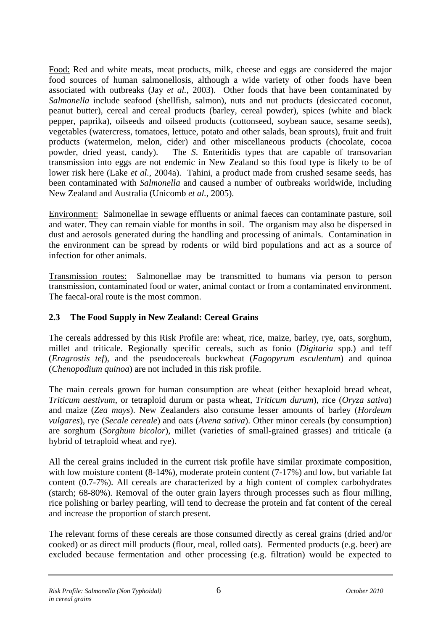<span id="page-12-0"></span>Food: Red and white meats, meat products, milk, cheese and eggs are considered the major food sources of human salmonellosis, although a wide variety of other foods have been associated with outbreaks (Jay *et al.*, 2003). Other foods that have been contaminated by *Salmonella* include seafood (shellfish, salmon), nuts and nut products (desiccated coconut, peanut butter), cereal and cereal products (barley, cereal powder), spices (white and black pepper, paprika), oilseeds and oilseed products (cottonseed, soybean sauce, sesame seeds), vegetables (watercress, tomatoes, lettuce, potato and other salads, bean sprouts), fruit and fruit products (watermelon, melon, cider) and other miscellaneous products (chocolate, cocoa powder, dried yeast, candy). The *S*. Enteritidis types that are capable of transovarian transmission into eggs are not endemic in New Zealand so this food type is likely to be of lower risk here (Lake *et al.*, 2004a). Tahini, a product made from crushed sesame seeds, has been contaminated with *Salmonella* and caused a number of outbreaks worldwide, including New Zealand and Australia (Unicomb *et al.*, 2005).

Environment: Salmonellae in sewage effluents or animal faeces can contaminate pasture, soil and water. They can remain viable for months in soil. The organism may also be dispersed in dust and aerosols generated during the handling and processing of animals. Contamination in the environment can be spread by rodents or wild bird populations and act as a source of infection for other animals.

Transmission routes: Salmonellae may be transmitted to humans via person to person transmission, contaminated food or water, animal contact or from a contaminated environment. The faecal-oral route is the most common.

## **2.3 The Food Supply in New Zealand: Cereal Grains**

The cereals addressed by this Risk Profile are: wheat, rice, maize, barley, rye, oats, sorghum, millet and triticale. Regionally specific cereals, such as fonio (*Digitaria* spp.) and teff (*Eragrostis tef*), and the pseudocereals buckwheat (*Fagopyrum esculentum*) and quinoa (*Chenopodium quinoa*) are not included in this risk profile.

The main cereals grown for human consumption are wheat (either hexaploid bread wheat, *Triticum aestivum*, or tetraploid durum or pasta wheat, *Triticum durum*), rice (*Oryza sativa*) and maize (*Zea mays*). New Zealanders also consume lesser amounts of barley (*Hordeum vulgares*), rye (*Secale cereale*) and oats (*Avena sativa*). Other minor cereals (by consumption) are sorghum (*Sorghum bicolor*), millet (varieties of small-grained grasses) and triticale (a hybrid of tetraploid wheat and rye).

All the cereal grains included in the current risk profile have similar proximate composition, with low moisture content (8-14%), moderate protein content (7-17%) and low, but variable fat content (0.7-7%). All cereals are characterized by a high content of complex carbohydrates (starch; 68-80%). Removal of the outer grain layers through processes such as flour milling, rice polishing or barley pearling, will tend to decrease the protein and fat content of the cereal and increase the proportion of starch present.

The relevant forms of these cereals are those consumed directly as cereal grains (dried and/or cooked) or as direct mill products (flour, meal, rolled oats). Fermented products (e.g. beer) are excluded because fermentation and other processing (e.g. filtration) would be expected to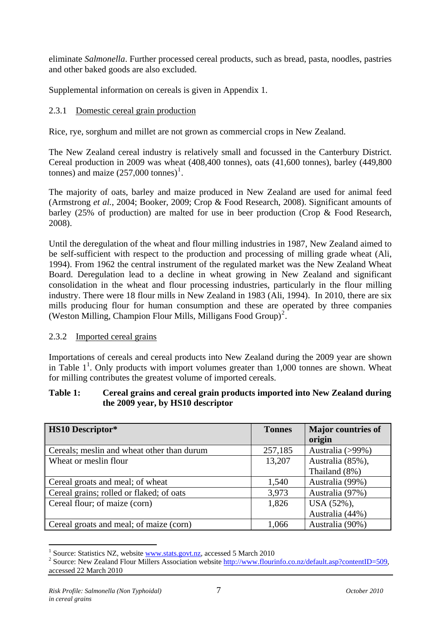<span id="page-13-0"></span>eliminate *Salmonella*. Further processed cereal products, such as bread, pasta, noodles, pastries and other baked goods are also excluded.

Supplemental information on cereals is given in Appendix 1.

## 2.3.1 Domestic cereal grain production

Rice, rye, sorghum and millet are not grown as commercial crops in New Zealand.

The New Zealand cereal industry is relatively small and focussed in the Canterbury District. Cereal production in 2009 was wheat (408,400 tonnes), oats (41,600 tonnes), barley (449,800 tonnes) and maize  $(257,000 \text{ tonnes})^1$  $(257,000 \text{ tonnes})^1$ .

<span id="page-13-1"></span>The majority of oats, barley and maize produced in New Zealand are used for animal feed (Armstrong *et al.*, 2004; Booker, 2009; Crop & Food Research, 2008). Significant amounts of barley (25% of production) are malted for use in beer production (Crop & Food Research, 2008).

Until the deregulation of the wheat and flour milling industries in 1987, New Zealand aimed to be self-sufficient with respect to the production and processing of milling grade wheat (Ali, 1994). From 1962 the central instrument of the regulated market was the New Zealand Wheat Board. Deregulation lead to a decline in wheat growing in New Zealand and significant consolidation in the wheat and flour processing industries, particularly in the flour milling industry. There were 18 flour mills in New Zealand in 1983 (Ali, 1994). In 2010, there are six mills producing flour for human consumption and these are operated by three companies (Weston Milling, Champion Flour Mills, Milligans Food Group)[2](#page-13-0) .

#### 2.3.2 Imported cereal grains

Importations of cereals and cereal products into New Zealand during the 2009 year are shown in Table  $1^1$  $1^1$ . Only products with import volumes greater than 1,000 tonnes are shown. Wheat for milling contributes the greatest volume of imported cereals.

#### **Table 1: Cereal grains and cereal grain products imported into New Zealand during the 2009 year, by HS10 descriptor**

| <b>HS10</b> Descriptor*                    | <b>Tonnes</b> | <b>Major countries of</b> |
|--------------------------------------------|---------------|---------------------------|
|                                            |               | origin                    |
| Cereals; meslin and wheat other than durum | 257,185       | Australia (>99%)          |
| Wheat or meslin flour                      | 13,207        | Australia (85%),          |
|                                            |               | Thailand (8%)             |
| Cereal groats and meal; of wheat           | 1,540         | Australia (99%)           |
| Cereal grains; rolled or flaked; of oats   | 3,973         | Australia (97%)           |
| Cereal flour; of maize (corn)              | 1,826         | USA (52%),                |
|                                            |               | Australia (44%)           |
| Cereal groats and meal; of maize (corn)    | 1,066         | Australia (90%)           |

<sup>1</sup> Source: Statistics NZ, website [www.stats.govt.nz](http://www.stats.govt.nz/), accessed 5 March 2010 <sup>2</sup>

1

<sup>&</sup>lt;sup>2</sup> Source: New Zealand Flour Millers Association website<http://www.flourinfo.co.nz/default.asp?contentID=509>, accessed 22 March 2010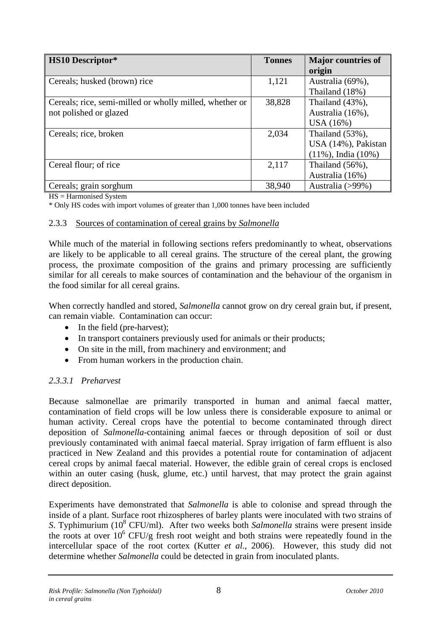<span id="page-14-0"></span>

| <b>HS10 Descriptor*</b>                                 | <b>Tonnes</b> | <b>Major countries of</b> |
|---------------------------------------------------------|---------------|---------------------------|
|                                                         |               | origin                    |
| Cereals; husked (brown) rice                            | 1,121         | Australia (69%),          |
|                                                         |               | Thailand (18%)            |
| Cereals; rice, semi-milled or wholly milled, whether or | 38,828        | Thailand $(43\%)$ ,       |
| not polished or glazed                                  |               | Australia (16%),          |
|                                                         |               | USA(16%)                  |
| Cereals; rice, broken                                   | 2,034         | Thailand $(53\%)$ ,       |
|                                                         |               | USA (14%), Pakistan       |
|                                                         |               | $(11\%)$ , India $(10\%)$ |
| Cereal flour; of rice                                   | 2,117         | Thailand $(56\%)$ ,       |
|                                                         |               | Australia (16%)           |
| Cereals; grain sorghum                                  | 38,940        | Australia (>99%)          |

HS = Harmonised System

\* Only HS codes with import volumes of greater than 1,000 tonnes have been included

#### 2.3.3 Sources of contamination of cereal grains by *Salmonella*

While much of the material in following sections refers predominantly to wheat, observations are likely to be applicable to all cereal grains. The structure of the cereal plant, the growing process, the proximate composition of the grains and primary processing are sufficiently similar for all cereals to make sources of contamination and the behaviour of the organism in the food similar for all cereal grains.

When correctly handled and stored, *Salmonella* cannot grow on dry cereal grain but, if present, can remain viable. Contamination can occur:

- In the field (pre-harvest);
- In transport containers previously used for animals or their products;
- On site in the mill, from machinery and environment; and
- From human workers in the production chain.

## *2.3.3.1 Preharvest*

Because salmonellae are primarily transported in human and animal faecal matter, contamination of field crops will be low unless there is considerable exposure to animal or human activity. Cereal crops have the potential to become contaminated through direct deposition of *Salmonella*-containing animal faeces or through deposition of soil or dust previously contaminated with animal faecal material. Spray irrigation of farm effluent is also practiced in New Zealand and this provides a potential route for contamination of adjacent cereal crops by animal faecal material. However, the edible grain of cereal crops is enclosed within an outer casing (husk, glume, etc.) until harvest, that may protect the grain against direct deposition.

Experiments have demonstrated that *Salmonella* is able to colonise and spread through the inside of a plant. Surface root rhizospheres of barley plants were inoculated with two strains of S. Typhimurium (10<sup>8</sup> CFU/ml). After two weeks both *Salmonella* strains were present inside the roots at over  $10^6$  CFU/g fresh root weight and both strains were repeatedly found in the intercellular space of the root cortex (Kutter *et al.*, 2006). However, this study did not determine whether *Salmonella* could be detected in grain from inoculated plants.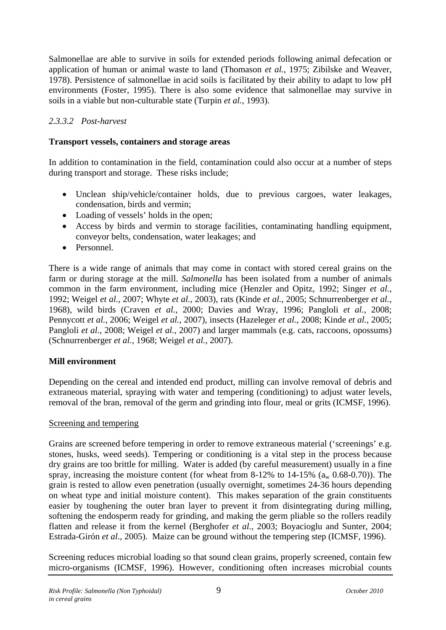<span id="page-15-0"></span>Salmonellae are able to survive in soils for extended periods following animal defecation or application of human or animal waste to land (Thomason *et al.*, 1975; Zibilske and Weaver, 1978). Persistence of salmonellae in acid soils is facilitated by their ability to adapt to low pH environments (Foster, 1995). There is also some evidence that salmonellae may survive in soils in a viable but non-culturable state (Turpin *et al.*, 1993).

## *2.3.3.2 Post-harvest*

#### **Transport vessels, containers and storage areas**

In addition to contamination in the field, contamination could also occur at a number of steps during transport and storage. These risks include;

- Unclean ship/vehicle/container holds, due to previous cargoes, water leakages, condensation, birds and vermin;
- Loading of vessels' holds in the open;
- Access by birds and vermin to storage facilities, contaminating handling equipment, conveyor belts, condensation, water leakages; and
- Personnel.

There is a wide range of animals that may come in contact with stored cereal grains on the farm or during storage at the mill. *Salmonella* has been isolated from a number of animals common in the farm environment, including mice (Henzler and Opitz, 1992; Singer *et al.*, 1992; Weigel *et al.*, 2007; Whyte *et al.*, 2003), rats (Kinde *et al.*, 2005; Schnurrenberger *et al.*, 1968), wild birds (Craven *et al.*, 2000; Davies and Wray, 1996; Pangloli *et al.*, 2008; Pennycott *et al.*, 2006; Weigel *et al.*, 2007), insects (Hazeleger *et al.*, 2008; Kinde *et al.*, 2005; Pangloli *et al.*, 2008; Weigel *et al.*, 2007) and larger mammals (e.g. cats, raccoons, opossums) (Schnurrenberger *et al.*, 1968; Weigel *et al.*, 2007).

#### **Mill environment**

Depending on the cereal and intended end product, milling can involve removal of debris and extraneous material, spraying with water and tempering (conditioning) to adjust water levels, removal of the bran, removal of the germ and grinding into flour, meal or grits (ICMSF, 1996).

#### Screening and tempering

Grains are screened before tempering in order to remove extraneous material ('screenings' e.g. stones, husks, weed seeds). Tempering or conditioning is a vital step in the process because dry grains are too brittle for milling. Water is added (by careful measurement) usually in a fine spray, increasing the moisture content (for wheat from  $8-12\%$  to  $14-15\%$  ( $a_w$  0.68-0.70)). The grain is rested to allow even penetration (usually overnight, sometimes 24-36 hours depending on wheat type and initial moisture content). This makes separation of the grain constituents easier by toughening the outer bran layer to prevent it from disintegrating during milling, softening the endosperm ready for grinding, and making the germ pliable so the rollers readily flatten and release it from the kernel (Berghofer *et al.*, 2003; Boyacioglu and Sunter, 2004; Estrada-Girón *et al.*, 2005). Maize can be ground without the tempering step (ICMSF, 1996).

Screening reduces microbial loading so that sound clean grains, properly screened, contain few micro-organisms (ICMSF, 1996). However, conditioning often increases microbial counts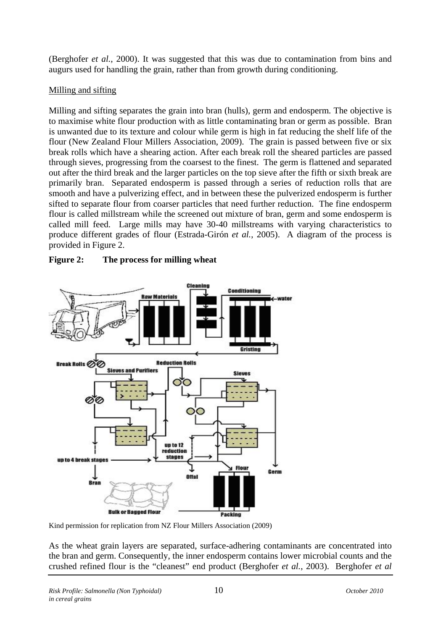<span id="page-16-0"></span>(Berghofer *et al.*, 2000). It was suggested that this was due to contamination from bins and augurs used for handling the grain, rather than from growth during conditioning.

## Milling and sifting

Milling and sifting separates the grain into bran (hulls), germ and endosperm. The objective is to maximise white flour production with as little contaminating bran or germ as possible. Bran is unwanted due to its texture and colour while germ is high in fat reducing the shelf life of the flour (New Zealand Flour Millers Association, 2009). The grain is passed between five or six break rolls which have a shearing action. After each break roll the sheared particles are passed through sieves, progressing from the coarsest to the finest. The germ is flattened and separated out after the third break and the larger particles on the top sieve after the fifth or sixth break are primarily bran. Separated endosperm is passed through a series of reduction rolls that are smooth and have a pulverizing effect, and in between these the pulverized endosperm is further sifted to separate flour from coarser particles that need further reduction. The fine endosperm flour is called millstream while the screened out mixture of bran, germ and some endosperm is called mill feed. Large mills may have 30-40 millstreams with varying characteristics to produce different grades of flour (Estrada-Girón *et al.*, 2005). A diagram of the process is provided in [Figure 2.](#page-16-1)



## <span id="page-16-1"></span>**Figure 2: The process for milling wheat**

Kind permission for replication from NZ Flour Millers Association (2009)

As the wheat grain layers are separated, surface-adhering contaminants are concentrated into the bran and germ. Consequently, the inner endosperm contains lower microbial counts and the crushed refined flour is the "cleanest" end product (Berghofer *et al.*, 2003). Berghofer *et al*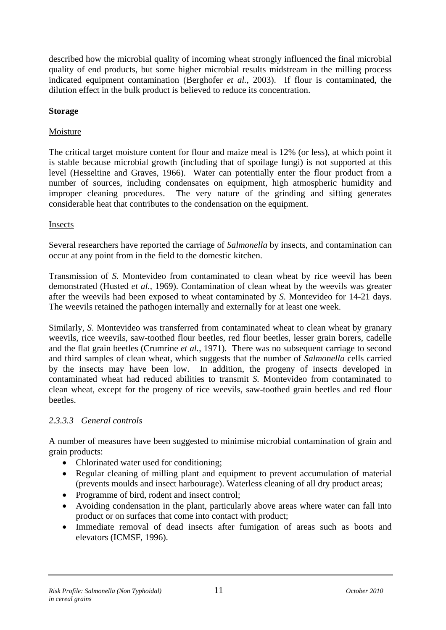<span id="page-17-0"></span>described how the microbial quality of incoming wheat strongly influenced the final microbial quality of end products, but some higher microbial results midstream in the milling process indicated equipment contamination (Berghofer *et al.*, 2003). If flour is contaminated, the dilution effect in the bulk product is believed to reduce its concentration.

#### **Storage**

## Moisture

The critical target moisture content for flour and maize meal is 12% (or less), at which point it is stable because microbial growth (including that of spoilage fungi) is not supported at this level (Hesseltine and Graves, 1966). Water can potentially enter the flour product from a number of sources, including condensates on equipment, high atmospheric humidity and improper cleaning procedures. The very nature of the grinding and sifting generates considerable heat that contributes to the condensation on the equipment.

#### Insects

Several researchers have reported the carriage of *Salmonella* by insects, and contamination can occur at any point from in the field to the domestic kitchen.

Transmission of *S.* Montevideo from contaminated to clean wheat by rice weevil has been demonstrated (Husted *et al.*, 1969). Contamination of clean wheat by the weevils was greater after the weevils had been exposed to wheat contaminated by *S.* Montevideo for 14-21 days. The weevils retained the pathogen internally and externally for at least one week.

Similarly, *S.* Montevideo was transferred from contaminated wheat to clean wheat by granary weevils, rice weevils, saw-toothed flour beetles, red flour beetles, lesser grain borers, cadelle and the flat grain beetles (Crumrine *et al.*, 1971). There was no subsequent carriage to second and third samples of clean wheat, which suggests that the number of *Salmonella* cells carried by the insects may have been low. In addition, the progeny of insects developed in contaminated wheat had reduced abilities to transmit *S.* Montevideo from contaminated to clean wheat, except for the progeny of rice weevils, saw-toothed grain beetles and red flour beetles.

#### *2.3.3.3 General controls*

A number of measures have been suggested to minimise microbial contamination of grain and grain products:

- Chlorinated water used for conditioning;
- Regular cleaning of milling plant and equipment to prevent accumulation of material (prevents moulds and insect harbourage). Waterless cleaning of all dry product areas;
- Programme of bird, rodent and insect control;
- Avoiding condensation in the plant, particularly above areas where water can fall into product or on surfaces that come into contact with product;
- Immediate removal of dead insects after fumigation of areas such as boots and elevators (ICMSF, 1996).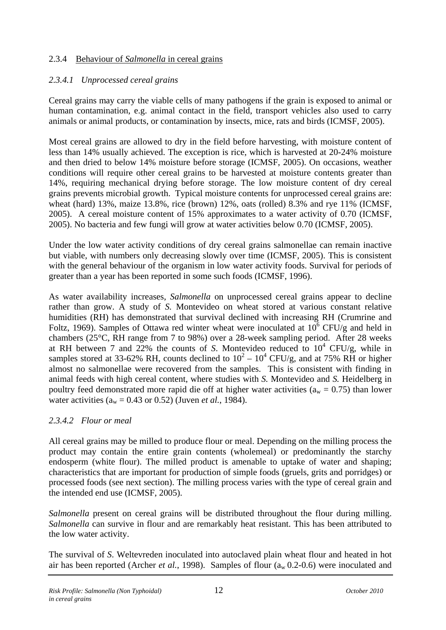#### <span id="page-18-0"></span>2.3.4 Behaviour of *Salmonella* in cereal grains

## *2.3.4.1 Unprocessed cereal grains*

Cereal grains may carry the viable cells of many pathogens if the grain is exposed to animal or human contamination, e.g. animal contact in the field, transport vehicles also used to carry animals or animal products, or contamination by insects, mice, rats and birds (ICMSF, 2005).

Most cereal grains are allowed to dry in the field before harvesting, with moisture content of less than 14% usually achieved. The exception is rice, which is harvested at 20-24% moisture and then dried to below 14% moisture before storage (ICMSF, 2005). On occasions, weather conditions will require other cereal grains to be harvested at moisture contents greater than 14%, requiring mechanical drying before storage. The low moisture content of dry cereal grains prevents microbial growth. Typical moisture contents for unprocessed cereal grains are: wheat (hard) 13%, maize 13.8%, rice (brown) 12%, oats (rolled) 8.3% and rye 11% (ICMSF, 2005). A cereal moisture content of 15% approximates to a water activity of 0.70 (ICMSF, 2005). No bacteria and few fungi will grow at water activities below 0.70 (ICMSF, 2005).

Under the low water activity conditions of dry cereal grains salmonellae can remain inactive but viable, with numbers only decreasing slowly over time (ICMSF, 2005). This is consistent with the general behaviour of the organism in low water activity foods. Survival for periods of greater than a year has been reported in some such foods (ICMSF, 1996).

As water availability increases, *Salmonella* on unprocessed cereal grains appear to decline rather than grow. A study of *S.* Montevideo on wheat stored at various constant relative humidities (RH) has demonstrated that survival declined with increasing RH (Crumrine and Foltz, 1969). Samples of Ottawa red winter wheat were inoculated at  $10^6$  CFU/g and held in chambers (25°C, RH range from 7 to 98%) over a 28-week sampling period. After 28 weeks at RH between 7 and  $22\%$  the counts of *S*. Montevideo reduced to  $10^4$  CFU/g, while in samples stored at 33-62% RH, counts declined to  $10^2 - 10^4$  CFU/g, and at 75% RH or higher almost no salmonellae were recovered from the samples. This is consistent with finding in animal feeds with high cereal content, where studies with *S.* Montevideo and *S.* Heidelberg in poultry feed demonstrated more rapid die off at higher water activities ( $a_w = 0.75$ ) than lower water activities ( $a_w = 0.43$  or 0.52) (Juven *et al.*, 1984).

#### *2.3.4.2 Flour or meal*

All cereal grains may be milled to produce flour or meal. Depending on the milling process the product may contain the entire grain contents (wholemeal) or predominantly the starchy endosperm (white flour). The milled product is amenable to uptake of water and shaping; characteristics that are important for production of simple foods (gruels, grits and porridges) or processed foods (see next section). The milling process varies with the type of cereal grain and the intended end use (ICMSF, 2005).

*Salmonella* present on cereal grains will be distributed throughout the flour during milling. *Salmonella* can survive in flour and are remarkably heat resistant. This has been attributed to the low water activity.

The survival of *S*. Weltevreden inoculated into autoclaved plain wheat flour and heated in hot air has been reported (Archer *et al.*, 1998). Samples of flour  $(a_w 0.2{\text -}0.6)$  were inoculated and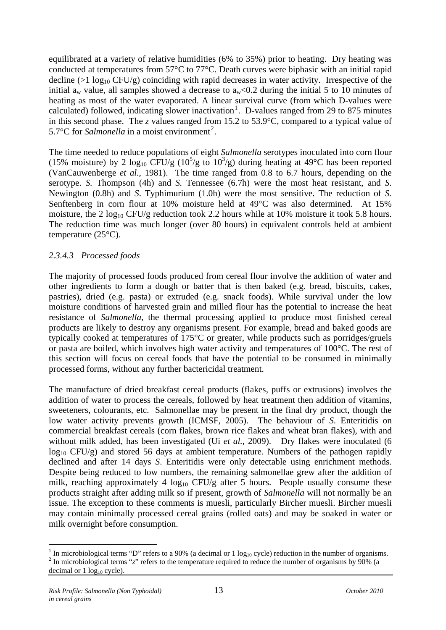<span id="page-19-0"></span>equilibrated at a variety of relative humidities (6% to 35%) prior to heating. Dry heating was conducted at temperatures from 57°C to 77°C. Death curves were biphasic with an initial rapid decline ( $>1$  log<sub>10</sub> CFU/g) coinciding with rapid decreases in water activity. Irrespective of the initial  $a_w$  value, all samples showed a decrease to  $a_w<0.2$  during the initial 5 to 10 minutes of heating as most of the water evaporated. A linear survival curve (from which D-values were calculated) followed, indicating slower inactivation<sup>[1](#page-19-0)</sup>. D-values ranged from 29 to 875 minutes in this second phase. The *z* values ranged from 15.2 to 53.9°C, compared to a typical value of 5.7 $\mathrm{^{\circ}C}$  for *Salmonella* in a moist environment<sup>[2](#page-19-0)</sup>.

The time needed to reduce populations of eight *Salmonella* serotypes inoculated into corn flour (15% moisture) by 2  $\log_{10}$  CFU/g (10<sup>5</sup>/g to 10<sup>3</sup>/g) during heating at 49°C has been reported (VanCauwenberge *et al.*, 1981). The time ranged from 0.8 to 6.7 hours, depending on the serotype. *S.* Thompson (4h) and *S.* Tennessee (6.7h) were the most heat resistant, and *S*. Newington (0.8h) and *S*. Typhimurium (1.0h) were the most sensitive. The reduction of *S.*  Senftenberg in corn flour at 10% moisture held at 49°C was also determined. At 15% moisture, the 2  $log_{10}$  CFU/g reduction took 2.2 hours while at 10% moisture it took 5.8 hours. The reduction time was much longer (over 80 hours) in equivalent controls held at ambient temperature (25°C).

#### *2.3.4.3 Processed foods*

The majority of processed foods produced from cereal flour involve the addition of water and other ingredients to form a dough or batter that is then baked (e.g. bread, biscuits, cakes, pastries), dried (e.g. pasta) or extruded (e.g. snack foods). While survival under the low moisture conditions of harvested grain and milled flour has the potential to increase the heat resistance of *Salmonella*, the thermal processing applied to produce most finished cereal products are likely to destroy any organisms present. For example, bread and baked goods are typically cooked at temperatures of 175°C or greater, while products such as porridges/gruels or pasta are boiled, which involves high water activity and temperatures of 100°C. The rest of this section will focus on cereal foods that have the potential to be consumed in minimally processed forms, without any further bactericidal treatment.

The manufacture of dried breakfast cereal products (flakes, puffs or extrusions) involves the addition of water to process the cereals, followed by heat treatment then addition of vitamins, sweeteners, colourants, etc. Salmonellae may be present in the final dry product, though the low water activity prevents growth (ICMSF, 2005). The behaviour of *S*. Enteritidis on commercial breakfast cereals (corn flakes, brown rice flakes and wheat bran flakes), with and without milk added, has been investigated (Ui *et al.*, 2009). Dry flakes were inoculated (6  $log_{10}$  CFU/g) and stored 56 days at ambient temperature. Numbers of the pathogen rapidly declined and after 14 days *S*. Enteritidis were only detectable using enrichment methods. Despite being reduced to low numbers, the remaining salmonellae grew after the addition of milk, reaching approximately 4  $log_{10}$  CFU/g after 5 hours. People usually consume these products straight after adding milk so if present, growth of *Salmonella* will not normally be an issue. The exception to these comments is muesli, particularly Bircher muesli. Bircher muesli may contain minimally processed cereal grains (rolled oats) and may be soaked in water or milk overnight before consumption.

1

<sup>1</sup> In microbiological terms "D" refers to a 90% (a decimal or  $1 \log_{10}$  cycle) reduction in the number of organisms. <sup>2</sup> In microbiological terms "*z*" refers to the temperature required to reduce the number of organisms by 90% (a decimal or  $1 \log_{10}$  cycle).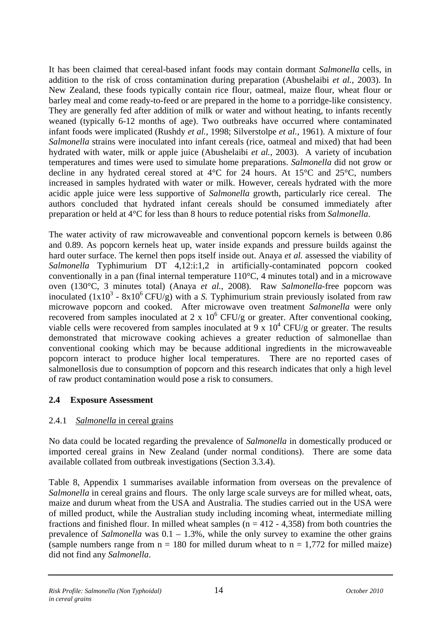<span id="page-20-0"></span>It has been claimed that cereal-based infant foods may contain dormant *Salmonella* cells, in addition to the risk of cross contamination during preparation (Abushelaibi *et al.*, 2003). In New Zealand, these foods typically contain rice flour, oatmeal, maize flour, wheat flour or barley meal and come ready-to-feed or are prepared in the home to a porridge-like consistency. They are generally fed after addition of milk or water and without heating, to infants recently weaned (typically 6-12 months of age). Two outbreaks have occurred where contaminated infant foods were implicated (Rushdy *et al.*, 1998; Silverstolpe *et al.*, 1961). A mixture of four *Salmonella* strains were inoculated into infant cereals (rice, oatmeal and mixed) that had been hydrated with water, milk or apple juice (Abushelaibi *et al.*, 2003). A variety of incubation temperatures and times were used to simulate home preparations. *Salmonella* did not grow or decline in any hydrated cereal stored at 4°C for 24 hours. At 15°C and 25°C, numbers increased in samples hydrated with water or milk. However, cereals hydrated with the more acidic apple juice were less supportive of *Salmonella* growth, particularly rice cereal. The authors concluded that hydrated infant cereals should be consumed immediately after preparation or held at 4°C for less than 8 hours to reduce potential risks from *Salmonella*.

The water activity of raw microwaveable and conventional popcorn kernels is between 0.86 and 0.89. As popcorn kernels heat up, water inside expands and pressure builds against the hard outer surface. The kernel then pops itself inside out. Anaya *et al.* assessed the viability of *Salmonella* Typhimurium DT 4,12:i:1,2 in artificially-contaminated popcorn cooked conventionally in a pan (final internal temperature  $110^{\circ}$ C, 4 minutes total) and in a microwave oven (130°C, 3 minutes total) (Anaya *et al.*, 2008). Raw *Salmonella*-free popcorn was inoculated  $(1x10^3 - 8x10^6$  CFU/g) with a *S*. Typhimurium strain previously isolated from raw microwave popcorn and cooked. After microwave oven treatment *Salmonella* were only recovered from samples inoculated at 2 x  $10^6$  CFU/g or greater. After conventional cooking, viable cells were recovered from samples inoculated at  $9 \times 10^4$  CFU/g or greater. The results demonstrated that microwave cooking achieves a greater reduction of salmonellae than conventional cooking which may be because additional ingredients in the microwaveable popcorn interact to produce higher local temperatures. There are no reported cases of salmonellosis due to consumption of popcorn and this research indicates that only a high level of raw product contamination would pose a risk to consumers.

## **2.4 Exposure Assessment**

## 2.4.1 *Salmonella* in cereal grains

No data could be located regarding the prevalence of *Salmonella* in domestically produced or imported cereal grains in New Zealand (under normal conditions). There are some data available collated from outbreak investigations (Section 3.3.4).

Table 8, Appendix 1 summarises available information from overseas on the prevalence of *Salmonella* in cereal grains and flours. The only large scale surveys are for milled wheat, oats, maize and durum wheat from the USA and Australia. The studies carried out in the USA were of milled product, while the Australian study including incoming wheat, intermediate milling fractions and finished flour. In milled wheat samples ( $n = 412 - 4,358$ ) from both countries the prevalence of *Salmonella* was 0.1 – 1.3%, while the only survey to examine the other grains (sample numbers range from  $n = 180$  for milled durum wheat to  $n = 1,772$  for milled maize) did not find any *Salmonella*.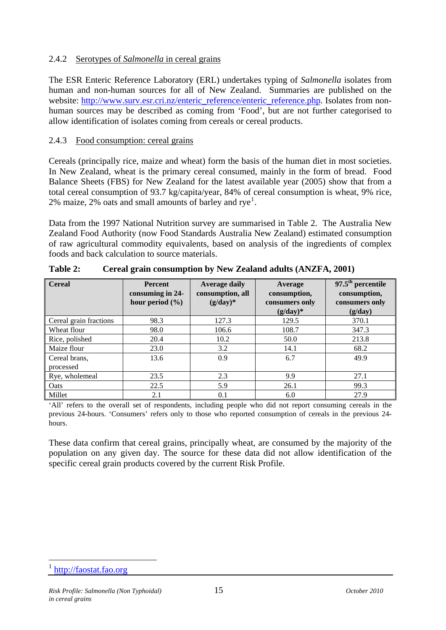#### <span id="page-21-0"></span>2.4.2 Serotypes of *Salmonella* in cereal grains

The ESR Enteric Reference Laboratory (ERL) undertakes typing of *Salmonella* isolates from human and non-human sources for all of New Zealand. Summaries are published on the website: [http://www.surv.esr.cri.nz/enteric\\_reference/enteric\\_reference.php.](http://www.surv.esr.cri.nz/enteric_reference/enteric_reference.php) Isolates from nonhuman sources may be described as coming from 'Food', but are not further categorised to allow identification of isolates coming from cereals or cereal products.

#### 2.4.3 Food consumption: cereal grains

Cereals (principally rice, maize and wheat) form the basis of the human diet in most societies. In New Zealand, wheat is the primary cereal consumed, mainly in the form of bread. Food Balance Sheets (FBS) for New Zealand for the latest available year (2005) show that from a total cereal consumption of 93.7 kg/capita/year, 84% of cereal consumption is wheat, 9% rice, 2% maize, 2% oats and small amounts of barley and rye<sup>[1](#page-21-0)</sup>.

Data from the 1997 National Nutrition survey are summarised in Table 2. The Australia New Zealand Food Authority (now Food Standards Australia New Zealand) estimated consumption of raw agricultural commodity equivalents, based on analysis of the ingredients of complex foods and back calculation to source materials.

| <b>Cereal</b>              | <b>Percent</b><br>consuming in 24-<br>hour period $(\% )$ | <b>Average daily</b><br>consumption, all<br>$(g/day)*$ | Average<br>consumption,<br>consumers only<br>$(g/day)*$ | $97.5th$ percentile<br>consumption,<br>consumers only<br>(g/day) |
|----------------------------|-----------------------------------------------------------|--------------------------------------------------------|---------------------------------------------------------|------------------------------------------------------------------|
| Cereal grain fractions     | 98.3                                                      | 127.3                                                  | 129.5                                                   | 370.1                                                            |
| Wheat flour                | 98.0                                                      | 106.6                                                  | 108.7                                                   | 347.3                                                            |
| Rice, polished             | 20.4                                                      | 10.2                                                   | 50.0                                                    | 213.8                                                            |
| Maize flour                | 23.0                                                      | 3.2                                                    | 14.1                                                    | 68.2                                                             |
| Cereal brans,<br>processed | 13.6                                                      | 0.9                                                    | 6.7                                                     | 49.9                                                             |
| Rye, wholemeal             | 23.5                                                      | 2.3                                                    | 9.9                                                     | 27.1                                                             |
| Oats                       | 22.5                                                      | 5.9                                                    | 26.1                                                    | 99.3                                                             |
| Millet                     | 2.1                                                       | 0.1                                                    | 6.0                                                     | 27.9                                                             |

**Table 2: Cereal grain consumption by New Zealand adults (ANZFA, 2001)** 

'All' refers to the overall set of respondents, including people who did not report consuming cereals in the previous 24-hours. 'Consumers' refers only to those who reported consumption of cereals in the previous 24 hours.

These data confirm that cereal grains, principally wheat, are consumed by the majority of the population on any given day. The source for these data did not allow identification of the specific cereal grain products covered by the current Risk Profile.

<u>.</u>

<sup>&</sup>lt;sup>1</sup> [http://faostat.fao.org](http://faostat.fao.org/)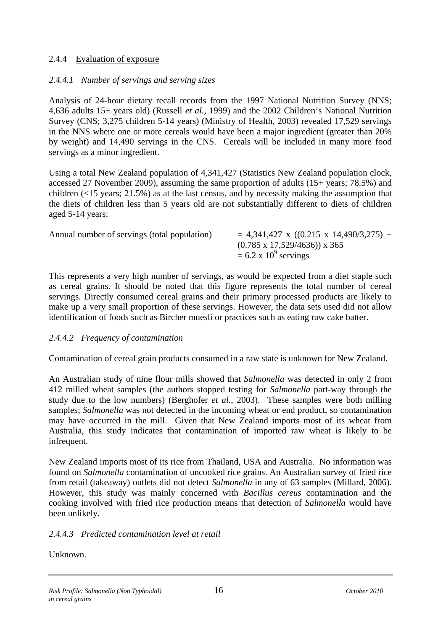#### <span id="page-22-0"></span>2.4.4 Evaluation of exposure

## *2.4.4.1 Number of servings and serving sizes*

Analysis of 24-hour dietary recall records from the 1997 National Nutrition Survey (NNS; 4,636 adults 15+ years old) (Russell *et al.*, 1999) and the 2002 Children's National Nutrition Survey (CNS; 3,275 children 5-14 years) (Ministry of Health, 2003) revealed 17,529 servings in the NNS where one or more cereals would have been a major ingredient (greater than 20% by weight) and 14,490 servings in the CNS. Cereals will be included in many more food servings as a minor ingredient.

Using a total New Zealand population of 4,341,427 (Statistics New Zealand population clock, accessed 27 November 2009), assuming the same proportion of adults (15+ years; 78.5%) and children  $\left($ <15 years; 21.5%) as at the last census, and by necessity making the assumption that the diets of children less than 5 years old are not substantially different to diets of children aged 5-14 years:

| Annual number of servings (total population) | $= 4,341,427$ x ((0.215 x 14,490/3,275) + |
|----------------------------------------------|-------------------------------------------|
|                                              | $(0.785 \times 17,529/4636) \times 365$   |
|                                              | $= 6.2 \times 10^9$ servings              |

This represents a very high number of servings, as would be expected from a diet staple such as cereal grains. It should be noted that this figure represents the total number of cereal servings. Directly consumed cereal grains and their primary processed products are likely to make up a very small proportion of these servings. However, the data sets used did not allow identification of foods such as Bircher muesli or practices such as eating raw cake batter.

## *2.4.4.2 Frequency of contamination*

Contamination of cereal grain products consumed in a raw state is unknown for New Zealand.

An Australian study of nine flour mills showed that *Salmonella* was detected in only 2 from 412 milled wheat samples (the authors stopped testing for *Salmonella* part-way through the study due to the low numbers) (Berghofer *et al.*, 2003). These samples were both milling samples; *Salmonella* was not detected in the incoming wheat or end product, so contamination may have occurred in the mill. Given that New Zealand imports most of its wheat from Australia, this study indicates that contamination of imported raw wheat is likely to be infrequent.

New Zealand imports most of its rice from Thailand, USA and Australia. No information was found on *Salmonella* contamination of uncooked rice grains. An Australian survey of fried rice from retail (takeaway) outlets did not detect *Salmonella* in any of 63 samples (Millard, 2006). However, this study was mainly concerned with *Bacillus cereus* contamination and the cooking involved with fried rice production means that detection of *Salmonella* would have been unlikely.

## *2.4.4.3 Predicted contamination level at retail*

Unknown.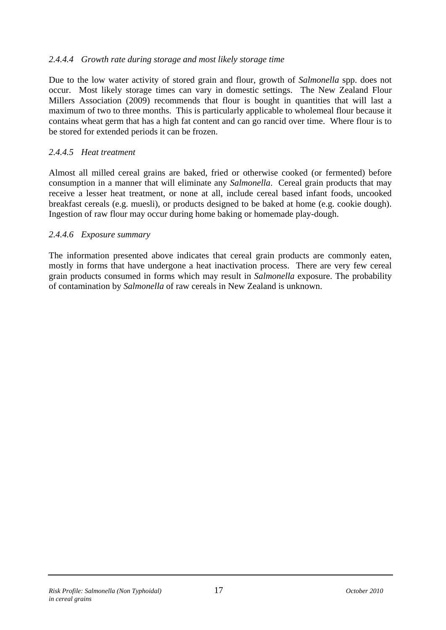#### <span id="page-23-0"></span>*2.4.4.4 Growth rate during storage and most likely storage time*

Due to the low water activity of stored grain and flour, growth of *Salmonella* spp. does not occur. Most likely storage times can vary in domestic settings. The New Zealand Flour Millers Association (2009) recommends that flour is bought in quantities that will last a maximum of two to three months. This is particularly applicable to wholemeal flour because it contains wheat germ that has a high fat content and can go rancid over time. Where flour is to be stored for extended periods it can be frozen.

#### *2.4.4.5 Heat treatment*

Almost all milled cereal grains are baked, fried or otherwise cooked (or fermented) before consumption in a manner that will eliminate any *Salmonella*.Cereal grain products that may receive a lesser heat treatment, or none at all, include cereal based infant foods, uncooked breakfast cereals (e.g. muesli), or products designed to be baked at home (e.g. cookie dough). Ingestion of raw flour may occur during home baking or homemade play-dough.

#### *2.4.4.6 Exposure summary*

The information presented above indicates that cereal grain products are commonly eaten, mostly in forms that have undergone a heat inactivation process. There are very few cereal grain products consumed in forms which may result in *Salmonella* exposure. The probability of contamination by *Salmonella* of raw cereals in New Zealand is unknown.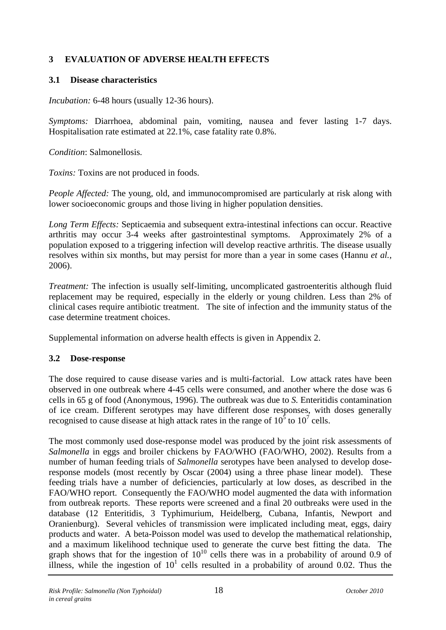## <span id="page-24-0"></span>**3 EVALUATION OF ADVERSE HEALTH EFFECTS**

#### **3.1 Disease characteristics**

*Incubation:* 6-48 hours (usually 12-36 hours).

*Symptoms:* Diarrhoea, abdominal pain, vomiting, nausea and fever lasting 1-7 days. Hospitalisation rate estimated at 22.1%, case fatality rate 0.8%.

*Condition*: Salmonellosis.

*Toxins:* Toxins are not produced in foods.

*People Affected:* The young, old, and immunocompromised are particularly at risk along with lower socioeconomic groups and those living in higher population densities.

*Long Term Effects:* Septicaemia and subsequent extra-intestinal infections can occur. Reactive arthritis may occur 3-4 weeks after gastrointestinal symptoms. Approximately 2% of a population exposed to a triggering infection will develop reactive arthritis. The disease usually resolves within six months, but may persist for more than a year in some cases (Hannu *et al.*, 2006).

*Treatment:* The infection is usually self-limiting, uncomplicated gastroenteritis although fluid replacement may be required, especially in the elderly or young children. Less than 2% of clinical cases require antibiotic treatment. The site of infection and the immunity status of the case determine treatment choices.

Supplemental information on adverse health effects is given in Appendix 2.

#### **3.2 Dose-response**

The dose required to cause disease varies and is multi-factorial. Low attack rates have been observed in one outbreak where 4-45 cells were consumed, and another where the dose was 6 cells in 65 g of food (Anonymous, 1996). The outbreak was due to *S.* Enteritidis contamination of ice cream. Different serotypes may have different dose responses, with doses generally recognised to cause disease at high attack rates in the range of  $10^5$  to  $10^7$  cells.

The most commonly used dose-response model was produced by the joint risk assessments of *Salmonella* in eggs and broiler chickens by FAO/WHO (FAO/WHO, 2002). Results from a number of human feeding trials of *Salmonella* serotypes have been analysed to develop doseresponse models (most recently by Oscar (2004) using a three phase linear model). These feeding trials have a number of deficiencies, particularly at low doses, as described in the FAO/WHO report. Consequently the FAO/WHO model augmented the data with information from outbreak reports. These reports were screened and a final 20 outbreaks were used in the database (12 Enteritidis, 3 Typhimurium, Heidelberg, Cubana, Infantis, Newport and Oranienburg). Several vehicles of transmission were implicated including meat, eggs, dairy products and water. A beta-Poisson model was used to develop the mathematical relationship, and a maximum likelihood technique used to generate the curve best fitting the data. The graph shows that for the ingestion of  $10^{10}$  cells there was in a probability of around 0.9 of illness, while the ingestion of  $10<sup>1</sup>$  cells resulted in a probability of around 0.02. Thus the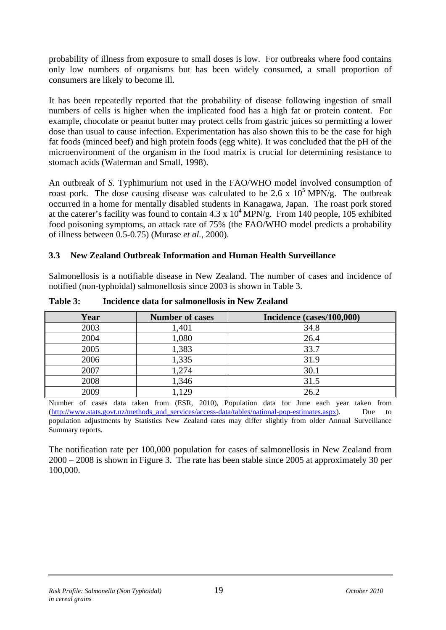<span id="page-25-0"></span>probability of illness from exposure to small doses is low. For outbreaks where food contains only low numbers of organisms but has been widely consumed, a small proportion of consumers are likely to become ill.

It has been repeatedly reported that the probability of disease following ingestion of small numbers of cells is higher when the implicated food has a high fat or protein content. For example, chocolate or peanut butter may protect cells from gastric juices so permitting a lower dose than usual to cause infection. Experimentation has also shown this to be the case for high fat foods (minced beef) and high protein foods (egg white). It was concluded that the pH of the microenvironment of the organism in the food matrix is crucial for determining resistance to stomach acids (Waterman and Small, 1998).

An outbreak of *S.* Typhimurium not used in the FAO/WHO model involved consumption of roast pork. The dose causing disease was calculated to be 2.6 x  $10^5$  MPN/g. The outbreak occurred in a home for mentally disabled students in Kanagawa, Japan. The roast pork stored at the caterer's facility was found to contain  $4.3 \times 10^4$  MPN/g. From 140 people, 105 exhibited food poisoning symptoms, an attack rate of 75% (the FAO/WHO model predicts a probability of illness between 0.5-0.75) (Murase *et al.*, 2000).

## **3.3 New Zealand Outbreak Information and Human Health Surveillance**

Salmonellosis is a notifiable disease in New Zealand. The number of cases and incidence of notified (non-typhoidal) salmonellosis since 2003 is shown in [Table 3.](#page-25-1)

<span id="page-25-1"></span>

| Year | <b>Number of cases</b> | Incidence (cases/100,000) |
|------|------------------------|---------------------------|
| 2003 | 1,401                  | 34.8                      |
| 2004 | 1,080                  | 26.4                      |
| 2005 | 1,383                  | 33.7                      |
| 2006 | 1,335                  | 31.9                      |
| 2007 | 1,274                  | 30.1                      |
| 2008 | 1,346                  | 31.5                      |
| 2009 | .129                   | 26.2                      |

**Table 3: Incidence data for salmonellosis in New Zealand** 

Number of cases data taken from (ESR, 2010), Population data for June each year taken from ([http://www.stats.govt.nz/methods\\_and\\_services/access-data/tables/national-pop-estimates.aspx](http://www.stats.govt.nz/methods_and_services/access-data/tables/national-pop-estimates.aspx)). Due to population adjustments by Statistics New Zealand rates may differ slightly from older Annual Surveillance Summary reports.

The notification rate per 100,000 population for cases of salmonellosis in New Zealand from 2000 – 2008 is shown in Figure 3. The rate has been stable since 2005 at approximately 30 per 100,000.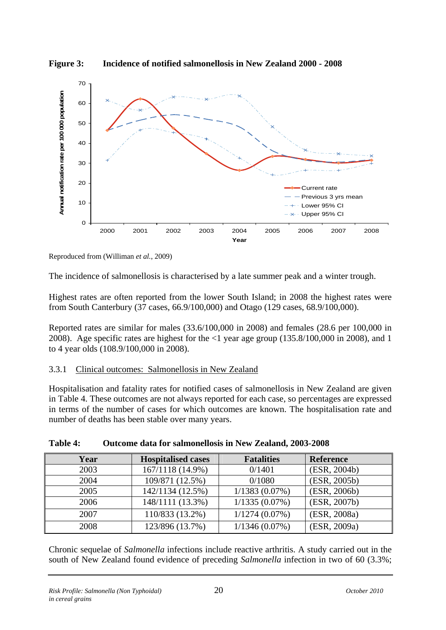<span id="page-26-0"></span>



Reproduced from (Williman *et al.*, 2009)

The incidence of salmonellosis is characterised by a late summer peak and a winter trough.

Highest rates are often reported from the lower South Island; in 2008 the highest rates were from South Canterbury (37 cases, 66.9/100,000) and Otago (129 cases, 68.9/100,000).

Reported rates are similar for males (33.6/100,000 in 2008) and females (28.6 per 100,000 in 2008). Age specific rates are highest for the <1 year age group (135.8/100,000 in 2008), and 1 to 4 year olds (108.9/100,000 in 2008).

## 3.3.1 Clinical outcomes: Salmonellosis in New Zealand

Hospitalisation and fatality rates for notified cases of salmonellosis in New Zealand are given in [Table 4.](#page-26-1) These outcomes are not always reported for each case, so percentages are expressed in terms of the number of cases for which outcomes are known. The hospitalisation rate and number of deaths has been stable over many years.

<span id="page-26-1"></span>

| Year | <b>Hospitalised cases</b> | <b>Fatalities</b> | <b>Reference</b> |
|------|---------------------------|-------------------|------------------|
| 2003 | 167/1118 (14.9%)          | 0/1401            | (ESR, 2004b)     |
| 2004 | 109/871 (12.5%)           | 0/1080            | (ESR, 2005b)     |
| 2005 | 142/1134 (12.5%)          | $1/1383(0.07\%)$  | (ESR, 2006b)     |
| 2006 | 148/1111 (13.3%)          | $1/1335(0.07\%)$  | (ESR, 2007b)     |
| 2007 | 110/833 (13.2%)           | $1/1274(0.07\%)$  | (ESR, 2008a)     |
| 2008 | 123/896 (13.7%)           | $1/1346(0.07\%)$  | (ESR, 2009a)     |

## **Table 4: Outcome data for salmonellosis in New Zealand, 2003-2008**

Chronic sequelae of *Salmonella* infections include reactive arthritis. A study carried out in the south of New Zealand found evidence of preceding *Salmonella* infection in two of 60 (3.3%;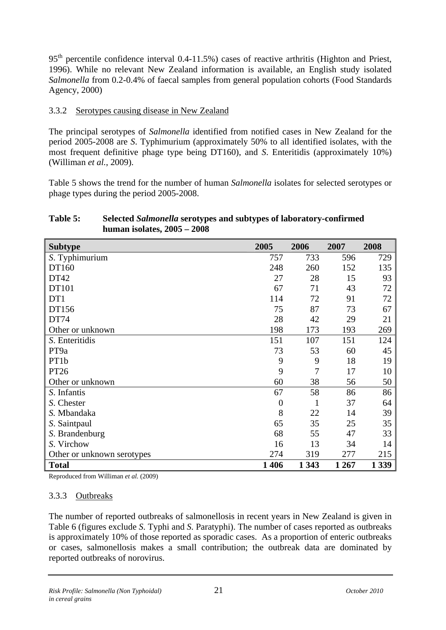<span id="page-27-0"></span> $95<sup>th</sup>$  percentile confidence interval 0.4-11.5%) cases of reactive arthritis (Highton and Priest, 1996). While no relevant New Zealand information is available, an English study isolated *Salmonella* from 0.2-0.4% of faecal samples from general population cohorts (Food Standards Agency, 2000)

## 3.3.2 Serotypes causing disease in New Zealand

The principal serotypes of *Salmonella* identified from notified cases in New Zealand for the period 2005-2008 are *S*. Typhimurium (approximately 50% to all identified isolates, with the most frequent definitive phage type being DT160), and *S*. Enteritidis (approximately 10%) (Williman *et al.*, 2009).

[Table 5](#page-27-1) shows the trend for the number of human *Salmonella* isolates for selected serotypes or phage types during the period 2005-2008.

#### <span id="page-27-1"></span>**Table 5: Selected** *Salmonella* **serotypes and subtypes of laboratory-confirmed human isolates, 2005 – 2008**

| <b>Subtype</b>             | 2005             | 2006         | 2007    | 2008    |
|----------------------------|------------------|--------------|---------|---------|
| S. Typhimurium             | 757              | 733          | 596     | 729     |
| DT160                      | 248              | 260          | 152     | 135     |
| DT42                       | 27               | 28           | 15      | 93      |
| DT101                      | 67               | 71           | 43      | 72      |
| DT1                        | 114              | 72           | 91      | 72      |
| DT156                      | 75               | 87           | 73      | 67      |
| DT74                       | 28               | 42           | 29      | 21      |
| Other or unknown           | 198              | 173          | 193     | 269     |
| S. Enteritidis             | 151              | 107          | 151     | 124     |
| PT9a                       | 73               | 53           | 60      | 45      |
| PT1b                       | 9                | 9            | 18      | 19      |
| PT26                       | 9                | 7            | 17      | 10      |
| Other or unknown           | 60               | 38           | 56      | 50      |
| S. Infantis                | 67               | 58           | 86      | 86      |
| S. Chester                 | $\boldsymbol{0}$ | $\mathbf{1}$ | 37      | 64      |
| S. Mbandaka                | 8                | 22           | 14      | 39      |
| S. Saintpaul               | 65               | 35           | 25      | 35      |
| S. Brandenburg             | 68               | 55           | 47      | 33      |
| S. Virchow                 | 16               | 13           | 34      | 14      |
| Other or unknown serotypes | 274              | 319          | 277     | 215     |
| <b>Total</b>               | 1406             | 1 3 4 3      | 1 2 6 7 | 1 3 3 9 |

Reproduced from Williman *et al.* (2009)

#### 3.3.3 Outbreaks

The number of reported outbreaks of salmonellosis in recent years in New Zealand is given in [Table 6](#page-28-1) (figures exclude *S*. Typhi and *S*. Paratyphi). The number of cases reported as outbreaks is approximately 10% of those reported as sporadic cases. As a proportion of enteric outbreaks or cases, salmonellosis makes a small contribution; the outbreak data are dominated by reported outbreaks of norovirus.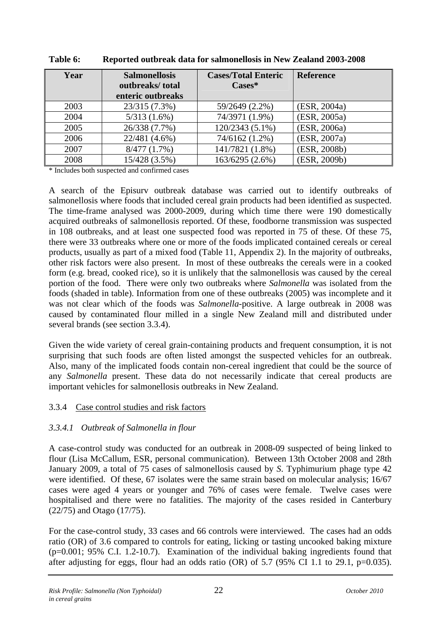<span id="page-28-1"></span>

| Year | <b>Salmonellosis</b><br>outbreaks/total<br>enteric outbreaks | <b>Cases/Total Enteric</b><br>$\text{Case}$ | <b>Reference</b> |
|------|--------------------------------------------------------------|---------------------------------------------|------------------|
| 2003 | 23/315 (7.3%)                                                | 59/2649 (2.2%)                              | (ESR, 2004a)     |
| 2004 | $5/313(1.6\%)$                                               | 74/3971 (1.9%)                              | (ESR, 2005a)     |
| 2005 | 26/338 (7.7%)                                                | 120/2343 (5.1%)                             | (ESR, 2006a)     |
| 2006 | 22/481 (4.6%)                                                | 74/6162 (1.2%)                              | (ESR, 2007a)     |
| 2007 | 8/477(1.7%)                                                  | 141/7821 (1.8%)                             | (ESR, 2008b)     |
| 2008 | 15/428 (3.5%)                                                | 163/6295 (2.6%)                             | (ESR, 2009b)     |

<span id="page-28-0"></span>**Table 6: Reported outbreak data for salmonellosis in New Zealand 2003-2008** 

\* Includes both suspected and confirmed cases

A search of the Episurv outbreak database was carried out to identify outbreaks of salmonellosis where foods that included cereal grain products had been identified as suspected. The time-frame analysed was 2000-2009, during which time there were 190 domestically acquired outbreaks of salmonellosis reported. Of these, foodborne transmission was suspected in 108 outbreaks, and at least one suspected food was reported in 75 of these. Of these 75, there were 33 outbreaks where one or more of the foods implicated contained cereals or cereal products, usually as part of a mixed food (Table 11, Appendix 2). In the majority of outbreaks, other risk factors were also present. In most of these outbreaks the cereals were in a cooked form (e.g. bread, cooked rice), so it is unlikely that the salmonellosis was caused by the cereal portion of the food. There were only two outbreaks where *Salmonella* was isolated from the foods (shaded in table). Information from one of these outbreaks (2005) was incomplete and it was not clear which of the foods was *Salmonella*-positive. A large outbreak in 2008 was caused by contaminated flour milled in a single New Zealand mill and distributed under several brands (see section 3.3.4).

Given the wide variety of cereal grain-containing products and frequent consumption, it is not surprising that such foods are often listed amongst the suspected vehicles for an outbreak. Also, many of the implicated foods contain non-cereal ingredient that could be the source of any *Salmonella* present. These data do not necessarily indicate that cereal products are important vehicles for salmonellosis outbreaks in New Zealand.

#### 3.3.4 Case control studies and risk factors

## *3.3.4.1 Outbreak of Salmonella in flour*

A case-control study was conducted for an outbreak in 2008-09 suspected of being linked to flour (Lisa McCallum, ESR, personal communication). Between 13th October 2008 and 28th January 2009, a total of 75 cases of salmonellosis caused by *S*. Typhimurium phage type 42 were identified. Of these, 67 isolates were the same strain based on molecular analysis; 16/67 cases were aged 4 years or younger and 76% of cases were female. Twelve cases were hospitalised and there were no fatalities. The majority of the cases resided in Canterbury (22/75) and Otago (17/75).

For the case-control study, 33 cases and 66 controls were interviewed. The cases had an odds ratio (OR) of 3.6 compared to controls for eating, licking or tasting uncooked baking mixture (p=0.001; 95% C.I. 1.2-10.7). Examination of the individual baking ingredients found that after adjusting for eggs, flour had an odds ratio (OR) of 5.7 (95% CI 1.1 to 29.1, p=0.035).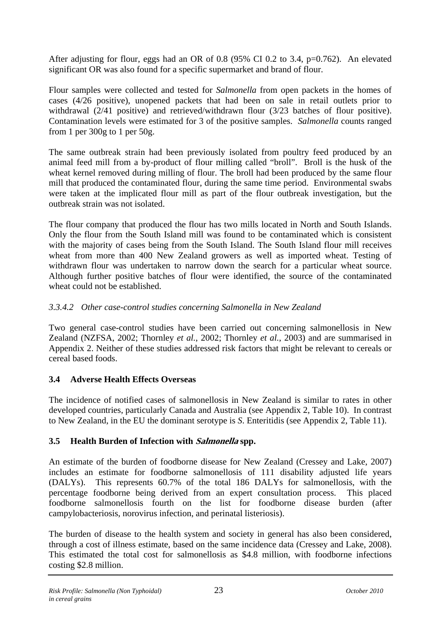<span id="page-29-0"></span>After adjusting for flour, eggs had an OR of 0.8 (95% CI 0.2 to 3.4, p=0.762). An elevated significant OR was also found for a specific supermarket and brand of flour.

Flour samples were collected and tested for *Salmonella* from open packets in the homes of cases (4/26 positive), unopened packets that had been on sale in retail outlets prior to withdrawal (2/41 positive) and retrieved/withdrawn flour (3/23 batches of flour positive). Contamination levels were estimated for 3 of the positive samples. *Salmonella* counts ranged from 1 per 300g to 1 per 50g.

The same outbreak strain had been previously isolated from poultry feed produced by an animal feed mill from a by-product of flour milling called "broll". Broll is the husk of the wheat kernel removed during milling of flour. The broll had been produced by the same flour mill that produced the contaminated flour, during the same time period. Environmental swabs were taken at the implicated flour mill as part of the flour outbreak investigation, but the outbreak strain was not isolated.

The flour company that produced the flour has two mills located in North and South Islands. Only the flour from the South Island mill was found to be contaminated which is consistent with the majority of cases being from the South Island. The South Island flour mill receives wheat from more than 400 New Zealand growers as well as imported wheat. Testing of withdrawn flour was undertaken to narrow down the search for a particular wheat source. Although further positive batches of flour were identified, the source of the contaminated wheat could not be established.

## *3.3.4.2 Other case-control studies concerning Salmonella in New Zealand*

Two general case-control studies have been carried out concerning salmonellosis in New Zealand (NZFSA, 2002; Thornley *et al.*, 2002; Thornley *et al.*, 2003) and are summarised in Appendix 2. Neither of these studies addressed risk factors that might be relevant to cereals or cereal based foods.

## **3.4 Adverse Health Effects Overseas**

The incidence of notified cases of salmonellosis in New Zealand is similar to rates in other developed countries, particularly Canada and Australia (see Appendix 2, [Table 10](#page-55-1)). In contrast to New Zealand, in the EU the dominant serotype is *S*. Enteritidis (see Appendix 2, [Table 11](#page-55-2)).

## **3.5 Health Burden of Infection with Salmonella spp.**

An estimate of the burden of foodborne disease for New Zealand (Cressey and Lake, 2007) includes an estimate for foodborne salmonellosis of 111 disability adjusted life years (DALYs). This represents 60.7% of the total 186 DALYs for salmonellosis, with the percentage foodborne being derived from an expert consultation process. This placed foodborne salmonellosis fourth on the list for foodborne disease burden (after campylobacteriosis, norovirus infection, and perinatal listeriosis).

The burden of disease to the health system and society in general has also been considered, through a cost of illness estimate, based on the same incidence data (Cressey and Lake, 2008). This estimated the total cost for salmonellosis as \$4.8 million, with foodborne infections costing \$2.8 million.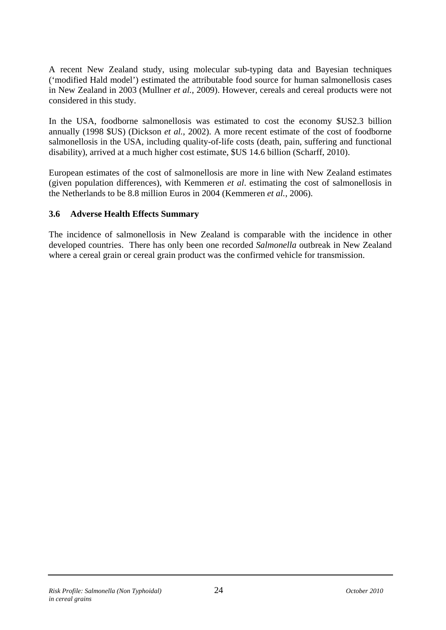<span id="page-30-0"></span>A recent New Zealand study, using molecular sub-typing data and Bayesian techniques ('modified Hald model') estimated the attributable food source for human salmonellosis cases in New Zealand in 2003 (Mullner *et al.*, 2009). However, cereals and cereal products were not considered in this study.

In the USA, foodborne salmonellosis was estimated to cost the economy \$US2.3 billion annually (1998 \$US) (Dickson *et al.*, 2002). A more recent estimate of the cost of foodborne salmonellosis in the USA, including quality-of-life costs (death, pain, suffering and functional disability), arrived at a much higher cost estimate, \$US 14.6 billion (Scharff, 2010).

European estimates of the cost of salmonellosis are more in line with New Zealand estimates (given population differences), with Kemmeren *et al*. estimating the cost of salmonellosis in the Netherlands to be 8.8 million Euros in 2004 (Kemmeren *et al.*, 2006).

## **3.6 Adverse Health Effects Summary**

The incidence of salmonellosis in New Zealand is comparable with the incidence in other developed countries. There has only been one recorded *Salmonella* outbreak in New Zealand where a cereal grain or cereal grain product was the confirmed vehicle for transmission.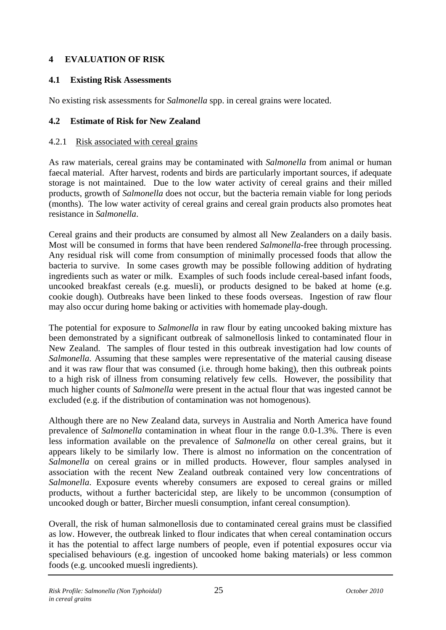## <span id="page-31-0"></span>**4 EVALUATION OF RISK**

#### **4.1 Existing Risk Assessments**

No existing risk assessments for *Salmonella* spp. in cereal grains were located.

#### **4.2 Estimate of Risk for New Zealand**

#### 4.2.1 Risk associated with cereal grains

As raw materials, cereal grains may be contaminated with *Salmonella* from animal or human faecal material. After harvest, rodents and birds are particularly important sources, if adequate storage is not maintained. Due to the low water activity of cereal grains and their milled products, growth of *Salmonella* does not occur, but the bacteria remain viable for long periods (months). The low water activity of cereal grains and cereal grain products also promotes heat resistance in *Salmonella*.

Cereal grains and their products are consumed by almost all New Zealanders on a daily basis. Most will be consumed in forms that have been rendered *Salmonella*-free through processing. Any residual risk will come from consumption of minimally processed foods that allow the bacteria to survive. In some cases growth may be possible following addition of hydrating ingredients such as water or milk. Examples of such foods include cereal-based infant foods, uncooked breakfast cereals (e.g. muesli), or products designed to be baked at home (e.g. cookie dough). Outbreaks have been linked to these foods overseas. Ingestion of raw flour may also occur during home baking or activities with homemade play-dough.

The potential for exposure to *Salmonella* in raw flour by eating uncooked baking mixture has been demonstrated by a significant outbreak of salmonellosis linked to contaminated flour in New Zealand. The samples of flour tested in this outbreak investigation had low counts of *Salmonella*. Assuming that these samples were representative of the material causing disease and it was raw flour that was consumed (i.e. through home baking), then this outbreak points to a high risk of illness from consuming relatively few cells. However, the possibility that much higher counts of *Salmonella* were present in the actual flour that was ingested cannot be excluded (e.g. if the distribution of contamination was not homogenous).

Although there are no New Zealand data, surveys in Australia and North America have found prevalence of *Salmonella* contamination in wheat flour in the range 0.0-1.3%. There is even less information available on the prevalence of *Salmonella* on other cereal grains, but it appears likely to be similarly low. There is almost no information on the concentration of *Salmonella* on cereal grains or in milled products. However, flour samples analysed in association with the recent New Zealand outbreak contained very low concentrations of *Salmonella*. Exposure events whereby consumers are exposed to cereal grains or milled products, without a further bactericidal step, are likely to be uncommon (consumption of uncooked dough or batter, Bircher muesli consumption, infant cereal consumption).

Overall, the risk of human salmonellosis due to contaminated cereal grains must be classified as low. However, the outbreak linked to flour indicates that when cereal contamination occurs it has the potential to affect large numbers of people, even if potential exposures occur via specialised behaviours (e.g. ingestion of uncooked home baking materials) or less common foods (e.g. uncooked muesli ingredients).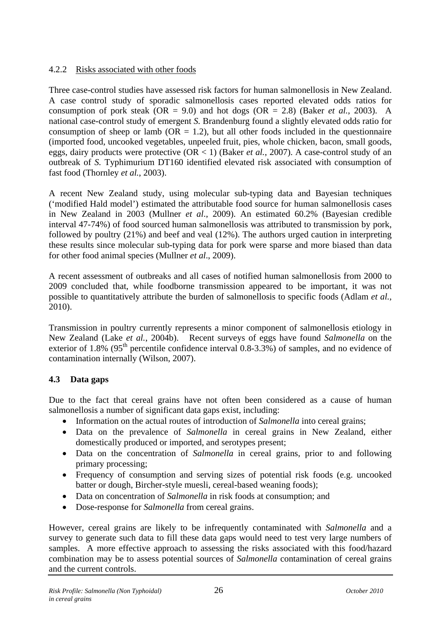## <span id="page-32-0"></span>4.2.2 Risks associated with other foods

Three case-control studies have assessed risk factors for human salmonellosis in New Zealand. A case control study of sporadic salmonellosis cases reported elevated odds ratios for consumption of pork steak  $(OR = 9.0)$  and hot dogs  $(OR = 2.8)$  (Baker *et al.*, 2003). A national case-control study of emergent *S.* Brandenburg found a slightly elevated odds ratio for consumption of sheep or lamb ( $OR = 1.2$ ), but all other foods included in the questionnaire (imported food, uncooked vegetables, unpeeled fruit, pies, whole chicken, bacon, small goods, eggs, dairy products were protective (OR < 1) (Baker *et al.*, 2007). A case-control study of an outbreak of *S.* Typhimurium DT160 identified elevated risk associated with consumption of fast food (Thornley *et al.*, 2003).

A recent New Zealand study, using molecular sub-typing data and Bayesian techniques ('modified Hald model') estimated the attributable food source for human salmonellosis cases in New Zealand in 2003 (Mullner *et al*., 2009). An estimated 60.2% (Bayesian credible interval 47-74%) of food sourced human salmonellosis was attributed to transmission by pork, followed by poultry (21%) and beef and veal (12%). The authors urged caution in interpreting these results since molecular sub-typing data for pork were sparse and more biased than data for other food animal species (Mullner *et al*., 2009).

A recent assessment of outbreaks and all cases of notified human salmonellosis from 2000 to 2009 concluded that, while foodborne transmission appeared to be important, it was not possible to quantitatively attribute the burden of salmonellosis to specific foods (Adlam *et al.*, 2010).

Transmission in poultry currently represents a minor component of salmonellosis etiology in New Zealand (Lake *et al.*, 2004b). Recent surveys of eggs have found *Salmonella* on the exterior of 1.8% (95<sup>th</sup> percentile confidence interval 0.8-3.3%) of samples, and no evidence of contamination internally (Wilson, 2007).

## **4.3 Data gaps**

Due to the fact that cereal grains have not often been considered as a cause of human salmonellosis a number of significant data gaps exist, including:

- Information on the actual routes of introduction of *Salmonella* into cereal grains;
- Data on the prevalence of *Salmonella* in cereal grains in New Zealand, either domestically produced or imported, and serotypes present;
- Data on the concentration of *Salmonella* in cereal grains, prior to and following primary processing;
- Frequency of consumption and serving sizes of potential risk foods (e.g. uncooked batter or dough, Bircher-style muesli, cereal-based weaning foods);
- Data on concentration of *Salmonella* in risk foods at consumption; and
- Dose-response for *Salmonella* from cereal grains.

However, cereal grains are likely to be infrequently contaminated with *Salmonella* and a survey to generate such data to fill these data gaps would need to test very large numbers of samples. A more effective approach to assessing the risks associated with this food/hazard combination may be to assess potential sources of *Salmonella* contamination of cereal grains and the current controls.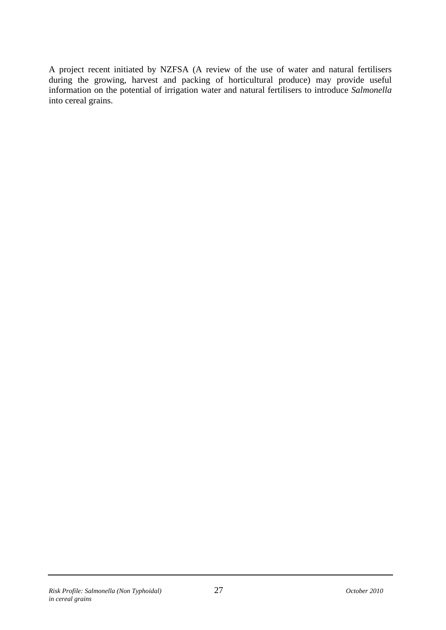A project recent initiated by NZFSA (A review of the use of water and natural fertilisers during the growing, harvest and packing of horticultural produce) may provide useful information on the potential of irrigation water and natural fertilisers to introduce *Salmonella* into cereal grains.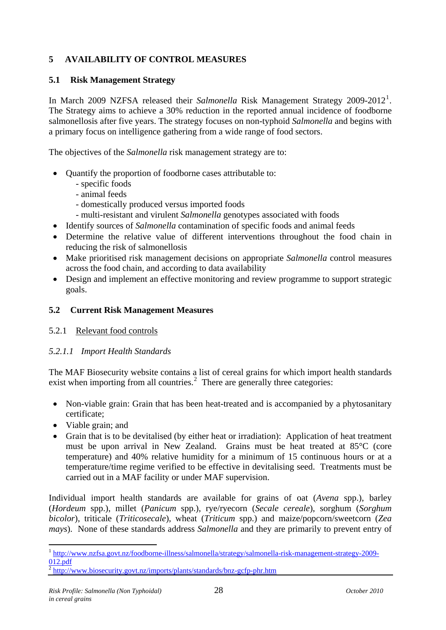## <span id="page-34-0"></span>**5 AVAILABILITY OF CONTROL MEASURES**

#### **5.1 Risk Management Strategy**

In March 2009 NZFSA released their *Salmonella* Risk Management Strategy 2009-20[1](#page-34-0)2<sup>1</sup>. The Strategy aims to achieve a 30% reduction in the reported annual incidence of foodborne salmonellosis after five years. The strategy focuses on non-typhoid *Salmonella* and begins with a primary focus on intelligence gathering from a wide range of food sectors.

The objectives of the *Salmonella* risk management strategy are to:

- Quantify the proportion of foodborne cases attributable to:
	- specific foods
	- animal feeds
	- domestically produced versus imported foods
	- multi-resistant and virulent *Salmonella* genotypes associated with foods
- Identify sources of *Salmonella* contamination of specific foods and animal feeds
- Determine the relative value of different interventions throughout the food chain in reducing the risk of salmonellosis
- Make prioritised risk management decisions on appropriate *Salmonella* control measures across the food chain, and according to data availability
- Design and implement an effective monitoring and review programme to support strategic goals.

## **5.2 Current Risk Management Measures**

#### 5.2.1 Relevant food controls

## *5.2.1.1 Import Health Standards*

The MAF Biosecurity website contains a list of cereal grains for which import health standards exist when importing from all countries. $<sup>2</sup>$  $<sup>2</sup>$  $<sup>2</sup>$  There are generally three categories:</sup>

- Non-viable grain: Grain that has been heat-treated and is accompanied by a phytosanitary certificate;
- Viable grain; and

1

• Grain that is to be devitalised (by either heat or irradiation): Application of heat treatment must be upon arrival in New Zealand. Grains must be heat treated at 85°C (core temperature) and 40% relative humidity for a minimum of 15 continuous hours or at a temperature/time regime verified to be effective in devitalising seed. Treatments must be carried out in a MAF facility or under MAF supervision.

Individual import health standards are available for grains of oat (*Avena* spp.), barley (*Hordeum* spp.), millet (*Panicum* spp.), rye/ryecorn (*Secale cereale*), sorghum (*Sorghum bicolor*), triticale (*Triticosecale*), wheat (*Triticum* spp.) and maize/popcorn/sweetcorn (*Zea mays*). None of these standards address *Salmonella* and they are primarily to prevent entry of

<sup>1</sup> [http://www.nzfsa.govt.nz/foodborne-illness/salmonella/strategy/salmonella-risk-management-strategy-2009-](http://www.nzfsa.govt.nz/foodborne-illness/salmonella/strategy/salmonella-risk-management-strategy-2009-012.pdf) [012.pdf](http://www.nzfsa.govt.nz/foodborne-illness/salmonella/strategy/salmonella-risk-management-strategy-2009-012.pdf)

 $\frac{2}{2}$  <http://www.biosecurity.govt.nz/imports/plants/standards/bnz-gcfp-phr.htm>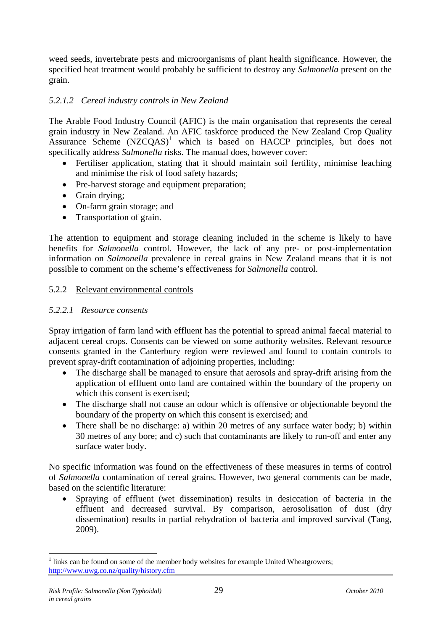<span id="page-35-0"></span>weed seeds, invertebrate pests and microorganisms of plant health significance. However, the specified heat treatment would probably be sufficient to destroy any *Salmonella* present on the grain.

## *5.2.1.2 Cereal industry controls in New Zealand*

The Arable Food Industry Council (AFIC) is the main organisation that represents the cereal grain industry in New Zealand. An AFIC taskforce produced the New Zealand Crop Quality Assurance Scheme  $(NZCQAS)^1$  $(NZCQAS)^1$  which is based on HACCP principles, but does not specifically address *Salmonella* risks. The manual does, however cover:

- Fertiliser application, stating that it should maintain soil fertility, minimise leaching and minimise the risk of food safety hazards;
- Pre-harvest storage and equipment preparation;
- Grain drving:
- On-farm grain storage; and
- Transportation of grain.

The attention to equipment and storage cleaning included in the scheme is likely to have benefits for *Salmonella* control. However, the lack of any pre- or post-implementation information on *Salmonella* prevalence in cereal grains in New Zealand means that it is not possible to comment on the scheme's effectiveness for *Salmonella* control.

#### 5.2.2 Relevant environmental controls

#### *5.2.2.1 Resource consents*

Spray irrigation of farm land with effluent has the potential to spread animal faecal material to adjacent cereal crops. Consents can be viewed on some authority websites. Relevant resource consents granted in the Canterbury region were reviewed and found to contain controls to prevent spray-drift contamination of adjoining properties, including:

- The discharge shall be managed to ensure that aerosols and spray-drift arising from the application of effluent onto land are contained within the boundary of the property on which this consent is exercised;
- The discharge shall not cause an odour which is offensive or objectionable beyond the boundary of the property on which this consent is exercised; and
- There shall be no discharge: a) within 20 metres of any surface water body; b) within 30 metres of any bore; and c) such that contaminants are likely to run-off and enter any surface water body.

No specific information was found on the effectiveness of these measures in terms of control of *Salmonella* contamination of cereal grains. However, two general comments can be made, based on the scientific literature:

• Spraying of effluent (wet dissemination) results in desiccation of bacteria in the effluent and decreased survival. By comparison, aerosolisation of dust (dry dissemination) results in partial rehydration of bacteria and improved survival (Tang, 2009).

<sup>1</sup>  $<sup>1</sup>$  links can be found on some of the member body websites for example United Wheatgrowers;</sup> <http://www.uwg.co.nz/quality/history.cfm>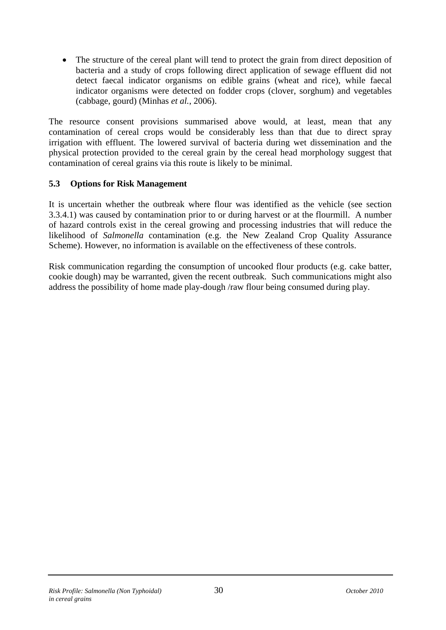<span id="page-36-0"></span>• The structure of the cereal plant will tend to protect the grain from direct deposition of bacteria and a study of crops following direct application of sewage effluent did not detect faecal indicator organisms on edible grains (wheat and rice), while faecal indicator organisms were detected on fodder crops (clover, sorghum) and vegetables (cabbage, gourd) (Minhas *et al.*, 2006).

The resource consent provisions summarised above would, at least, mean that any contamination of cereal crops would be considerably less than that due to direct spray irrigation with effluent. The lowered survival of bacteria during wet dissemination and the physical protection provided to the cereal grain by the cereal head morphology suggest that contamination of cereal grains via this route is likely to be minimal.

## **5.3 Options for Risk Management**

It is uncertain whether the outbreak where flour was identified as the vehicle (see section 3.3.4.1) was caused by contamination prior to or during harvest or at the flourmill. A number of hazard controls exist in the cereal growing and processing industries that will reduce the likelihood of *Salmonella* contamination (e.g. the New Zealand Crop Quality Assurance Scheme). However, no information is available on the effectiveness of these controls.

Risk communication regarding the consumption of uncooked flour products (e.g. cake batter, cookie dough) may be warranted, given the recent outbreak. Such communications might also address the possibility of home made play-dough /raw flour being consumed during play.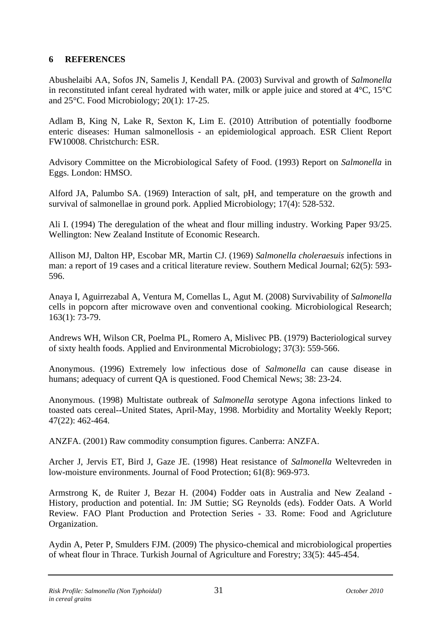#### <span id="page-37-0"></span>**6 REFERENCES**

Abushelaibi AA, Sofos JN, Samelis J, Kendall PA. (2003) Survival and growth of *Salmonella*  in reconstituted infant cereal hydrated with water, milk or apple juice and stored at 4°C, 15°C and 25°C. Food Microbiology; 20(1): 17-25.

Adlam B, King N, Lake R, Sexton K, Lim E. (2010) Attribution of potentially foodborne enteric diseases: Human salmonellosis - an epidemiological approach. ESR Client Report FW10008. Christchurch: ESR.

Advisory Committee on the Microbiological Safety of Food. (1993) Report on *Salmonella* in Eggs. London: HMSO.

Alford JA, Palumbo SA. (1969) Interaction of salt, pH, and temperature on the growth and survival of salmonellae in ground pork. Applied Microbiology; 17(4): 528-532.

Ali I. (1994) The deregulation of the wheat and flour milling industry. Working Paper 93/25. Wellington: New Zealand Institute of Economic Research.

Allison MJ, Dalton HP, Escobar MR, Martin CJ. (1969) *Salmonella choleraesuis* infections in man: a report of 19 cases and a critical literature review. Southern Medical Journal; 62(5): 593- 596.

Anaya I, Aguirrezabal A, Ventura M, Comellas L, Agut M. (2008) Survivability of *Salmonella*  cells in popcorn after microwave oven and conventional cooking. Microbiological Research; 163(1): 73-79.

Andrews WH, Wilson CR, Poelma PL, Romero A, Mislivec PB. (1979) Bacteriological survey of sixty health foods. Applied and Environmental Microbiology; 37(3): 559-566.

Anonymous. (1996) Extremely low infectious dose of *Salmonella* can cause disease in humans; adequacy of current QA is questioned. Food Chemical News; 38: 23-24.

Anonymous. (1998) Multistate outbreak of *Salmonella* serotype Agona infections linked to toasted oats cereal--United States, April-May, 1998. Morbidity and Mortality Weekly Report; 47(22): 462-464.

ANZFA. (2001) Raw commodity consumption figures. Canberra: ANZFA.

Archer J, Jervis ET, Bird J, Gaze JE. (1998) Heat resistance of *Salmonella* Weltevreden in low-moisture environments. Journal of Food Protection; 61(8): 969-973.

Armstrong K, de Ruiter J, Bezar H. (2004) Fodder oats in Australia and New Zealand - History, production and potential. In: JM Suttie; SG Reynolds (eds). Fodder Oats. A World Review. FAO Plant Production and Protection Series - 33. Rome: Food and Agricluture Organization.

Aydin A, Peter P, Smulders FJM. (2009) The physico-chemical and microbiological properties of wheat flour in Thrace. Turkish Journal of Agriculture and Forestry; 33(5): 445-454.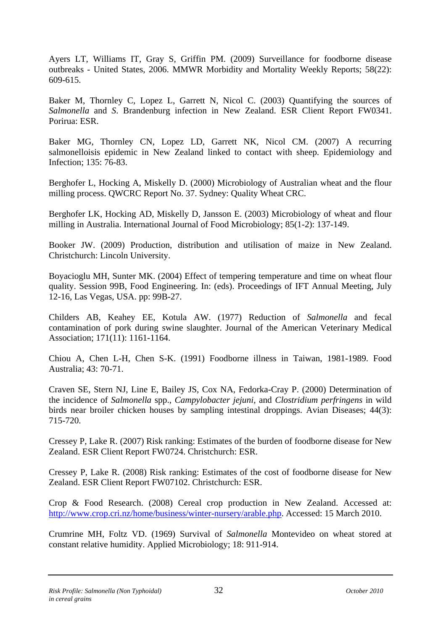Ayers LT, Williams IT, Gray S, Griffin PM. (2009) Surveillance for foodborne disease outbreaks - United States, 2006. MMWR Morbidity and Mortality Weekly Reports; 58(22): 609-615.

Baker M, Thornley C, Lopez L, Garrett N, Nicol C. (2003) Quantifying the sources of *Salmonella* and *S*. Brandenburg infection in New Zealand. ESR Client Report FW0341. Porirua: ESR.

Baker MG, Thornley CN, Lopez LD, Garrett NK, Nicol CM. (2007) A recurring salmonelloisis epidemic in New Zealand linked to contact with sheep. Epidemiology and Infection; 135: 76-83.

Berghofer L, Hocking A, Miskelly D. (2000) Microbiology of Australian wheat and the flour milling process. QWCRC Report No. 37. Sydney: Quality Wheat CRC.

Berghofer LK, Hocking AD, Miskelly D, Jansson E. (2003) Microbiology of wheat and flour milling in Australia. International Journal of Food Microbiology; 85(1-2): 137-149.

Booker JW. (2009) Production, distribution and utilisation of maize in New Zealand. Christchurch: Lincoln University.

Boyacioglu MH, Sunter MK. (2004) Effect of tempering temperature and time on wheat flour quality. Session 99B, Food Engineering. In: (eds). Proceedings of IFT Annual Meeting, July 12-16, Las Vegas, USA. pp: 99B-27.

Childers AB, Keahey EE, Kotula AW. (1977) Reduction of *Salmonella* and fecal contamination of pork during swine slaughter. Journal of the American Veterinary Medical Association; 171(11): 1161-1164.

Chiou A, Chen L-H, Chen S-K. (1991) Foodborne illness in Taiwan, 1981-1989. Food Australia; 43: 70-71.

Craven SE, Stern NJ, Line E, Bailey JS, Cox NA, Fedorka-Cray P. (2000) Determination of the incidence of *Salmonella* spp., *Campylobacter jejuni*, and *Clostridium perfringens* in wild birds near broiler chicken houses by sampling intestinal droppings. Avian Diseases; 44(3): 715-720.

Cressey P, Lake R. (2007) Risk ranking: Estimates of the burden of foodborne disease for New Zealand. ESR Client Report FW0724. Christchurch: ESR.

Cressey P, Lake R. (2008) Risk ranking: Estimates of the cost of foodborne disease for New Zealand. ESR Client Report FW07102. Christchurch: ESR.

Crop & Food Research. (2008) Cereal crop production in New Zealand. Accessed at: [http://www.crop.cri.nz/home/business/winter-nursery/arable.php.](http://www.crop.cri.nz/home/business/winter-nursery/arable.php) Accessed: 15 March 2010.

Crumrine MH, Foltz VD. (1969) Survival of *Salmonella* Montevideo on wheat stored at constant relative humidity. Applied Microbiology; 18: 911-914.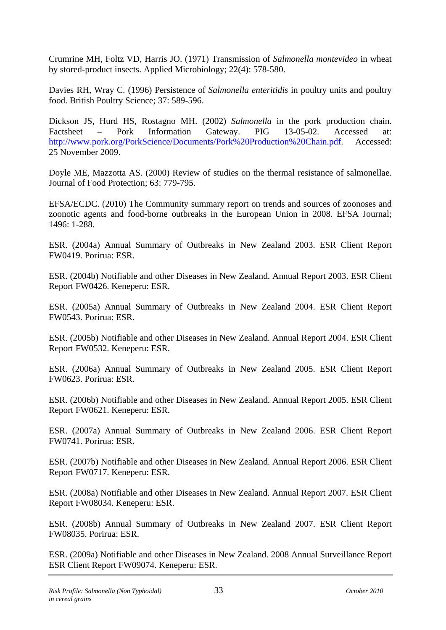Crumrine MH, Foltz VD, Harris JO. (1971) Transmission of *Salmonella montevideo* in wheat by stored-product insects. Applied Microbiology; 22(4): 578-580.

Davies RH, Wray C. (1996) Persistence of *Salmonella enteritidis* in poultry units and poultry food. British Poultry Science; 37: 589-596.

Dickson JS, Hurd HS, Rostagno MH. (2002) *Salmonella* in the pork production chain. Factsheet – Pork Information Gateway. PIG 13-05-02. Accessed at: [http://www.pork.org/PorkScience/Documents/Pork%20Production%20Chain.pdf.](http://www.pork.org/PorkScience/Documents/Pork%20Production%20Chain.pdf) Accessed: 25 November 2009.

Doyle ME, Mazzotta AS. (2000) Review of studies on the thermal resistance of salmonellae. Journal of Food Protection; 63: 779-795.

EFSA/ECDC. (2010) The Community summary report on trends and sources of zoonoses and zoonotic agents and food-borne outbreaks in the European Union in 2008. EFSA Journal; 1496: 1-288.

ESR. (2004a) Annual Summary of Outbreaks in New Zealand 2003. ESR Client Report FW0419. Porirua: ESR.

ESR. (2004b) Notifiable and other Diseases in New Zealand. Annual Report 2003. ESR Client Report FW0426. Keneperu: ESR.

ESR. (2005a) Annual Summary of Outbreaks in New Zealand 2004. ESR Client Report FW0543. Porirua: ESR.

ESR. (2005b) Notifiable and other Diseases in New Zealand. Annual Report 2004. ESR Client Report FW0532. Keneperu: ESR.

ESR. (2006a) Annual Summary of Outbreaks in New Zealand 2005. ESR Client Report FW0623. Porirua: ESR.

ESR. (2006b) Notifiable and other Diseases in New Zealand. Annual Report 2005. ESR Client Report FW0621. Keneperu: ESR.

ESR. (2007a) Annual Summary of Outbreaks in New Zealand 2006. ESR Client Report FW0741. Porirua: ESR.

ESR. (2007b) Notifiable and other Diseases in New Zealand. Annual Report 2006. ESR Client Report FW0717. Keneperu: ESR.

ESR. (2008a) Notifiable and other Diseases in New Zealand. Annual Report 2007. ESR Client Report FW08034. Keneperu: ESR.

ESR. (2008b) Annual Summary of Outbreaks in New Zealand 2007. ESR Client Report FW08035. Porirua: ESR.

ESR. (2009a) Notifiable and other Diseases in New Zealand. 2008 Annual Surveillance Report ESR Client Report FW09074. Keneperu: ESR.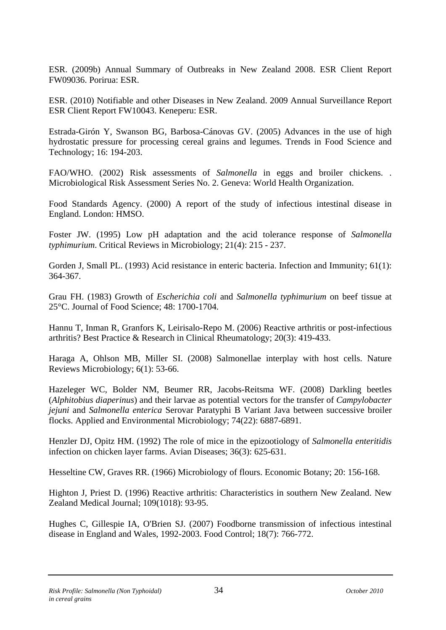ESR. (2009b) Annual Summary of Outbreaks in New Zealand 2008. ESR Client Report FW09036. Porirua: ESR.

ESR. (2010) Notifiable and other Diseases in New Zealand. 2009 Annual Surveillance Report ESR Client Report FW10043. Keneperu: ESR.

Estrada-Girón Y, Swanson BG, Barbosa-Cánovas GV. (2005) Advances in the use of high hydrostatic pressure for processing cereal grains and legumes. Trends in Food Science and Technology; 16: 194-203.

FAO/WHO. (2002) Risk assessments of *Salmonella* in eggs and broiler chickens. . Microbiological Risk Assessment Series No. 2. Geneva: World Health Organization.

Food Standards Agency. (2000) A report of the study of infectious intestinal disease in England. London: HMSO.

Foster JW. (1995) Low pH adaptation and the acid tolerance response of *Salmonella typhimurium*. Critical Reviews in Microbiology; 21(4): 215 - 237.

Gorden J, Small PL. (1993) Acid resistance in enteric bacteria. Infection and Immunity; 61(1): 364-367.

Grau FH. (1983) Growth of *Escherichia coli* and *Salmonella typhimurium* on beef tissue at 25°C. Journal of Food Science; 48: 1700-1704.

Hannu T, Inman R, Granfors K, Leirisalo-Repo M. (2006) Reactive arthritis or post-infectious arthritis? Best Practice & Research in Clinical Rheumatology; 20(3): 419-433.

Haraga A, Ohlson MB, Miller SI. (2008) Salmonellae interplay with host cells. Nature Reviews Microbiology; 6(1): 53-66.

Hazeleger WC, Bolder NM, Beumer RR, Jacobs-Reitsma WF. (2008) Darkling beetles (*Alphitobius diaperinus*) and their larvae as potential vectors for the transfer of *Campylobacter jejuni* and *Salmonella enterica* Serovar Paratyphi B Variant Java between successive broiler flocks. Applied and Environmental Microbiology; 74(22): 6887-6891.

Henzler DJ, Opitz HM. (1992) The role of mice in the epizootiology of *Salmonella enteritidis* infection on chicken layer farms. Avian Diseases; 36(3): 625-631.

Hesseltine CW, Graves RR. (1966) Microbiology of flours. Economic Botany; 20: 156-168.

Highton J, Priest D. (1996) Reactive arthritis: Characteristics in southern New Zealand. New Zealand Medical Journal; 109(1018): 93-95.

Hughes C, Gillespie IA, O'Brien SJ. (2007) Foodborne transmission of infectious intestinal disease in England and Wales, 1992-2003. Food Control; 18(7): 766-772.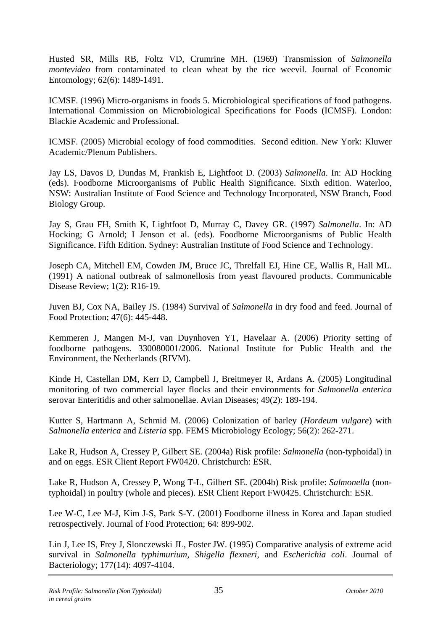Husted SR, Mills RB, Foltz VD, Crumrine MH. (1969) Transmission of *Salmonella montevideo* from contaminated to clean wheat by the rice weevil. Journal of Economic Entomology; 62(6): 1489-1491.

ICMSF. (1996) Micro-organisms in foods 5. Microbiological specifications of food pathogens. International Commission on Microbiological Specifications for Foods (ICMSF). London: Blackie Academic and Professional.

ICMSF. (2005) Microbial ecology of food commodities. Second edition. New York: Kluwer Academic/Plenum Publishers.

Jay LS, Davos D, Dundas M, Frankish E, Lightfoot D. (2003) *Salmonella*. In: AD Hocking (eds). Foodborne Microorganisms of Public Health Significance. Sixth edition. Waterloo, NSW: Australian Institute of Food Science and Technology Incorporated, NSW Branch, Food Biology Group.

Jay S, Grau FH, Smith K, Lightfoot D, Murray C, Davey GR. (1997) *Salmonella*. In: AD Hocking; G Arnold; I Jenson et al. (eds). Foodborne Microorganisms of Public Health Significance. Fifth Edition. Sydney: Australian Institute of Food Science and Technology.

Joseph CA, Mitchell EM, Cowden JM, Bruce JC, Threlfall EJ, Hine CE, Wallis R, Hall ML. (1991) A national outbreak of salmonellosis from yeast flavoured products. Communicable Disease Review; 1(2): R16-19.

Juven BJ, Cox NA, Bailey JS. (1984) Survival of *Salmonella* in dry food and feed. Journal of Food Protection; 47(6): 445-448.

Kemmeren J, Mangen M-J, van Duynhoven YT, Havelaar A. (2006) Priority setting of foodborne pathogens. 330080001/2006. National Institute for Public Health and the Environment, the Netherlands (RIVM).

Kinde H, Castellan DM, Kerr D, Campbell J, Breitmeyer R, Ardans A. (2005) Longitudinal monitoring of two commercial layer flocks and their environments for *Salmonella enterica* serovar Enteritidis and other salmonellae. Avian Diseases; 49(2): 189-194.

Kutter S, Hartmann A, Schmid M. (2006) Colonization of barley (*Hordeum vulgare*) with *Salmonella enterica* and *Listeria* spp. FEMS Microbiology Ecology; 56(2): 262-271.

Lake R, Hudson A, Cressey P, Gilbert SE. (2004a) Risk profile: *Salmonella* (non-typhoidal) in and on eggs. ESR Client Report FW0420. Christchurch: ESR.

Lake R, Hudson A, Cressey P, Wong T-L, Gilbert SE. (2004b) Risk profile: *Salmonella* (nontyphoidal) in poultry (whole and pieces). ESR Client Report FW0425. Christchurch: ESR.

Lee W-C, Lee M-J, Kim J-S, Park S-Y. (2001) Foodborne illness in Korea and Japan studied retrospectively. Journal of Food Protection; 64: 899-902.

Lin J, Lee IS, Frey J, Slonczewski JL, Foster JW. (1995) Comparative analysis of extreme acid survival in *Salmonella typhimurium, Shigella flexneri*, and *Escherichia coli*. Journal of Bacteriology; 177(14): 4097-4104.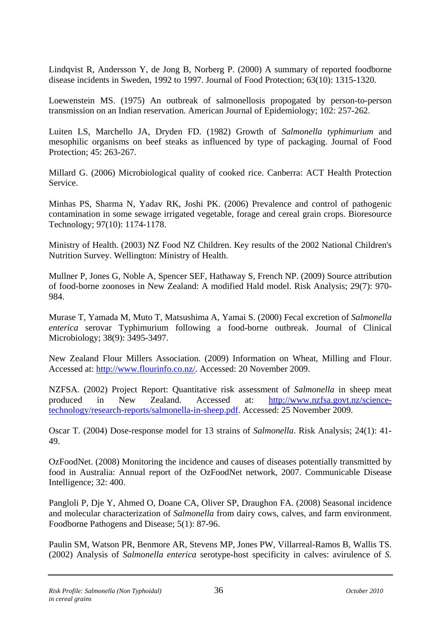Lindqvist R, Andersson Y, de Jong B, Norberg P. (2000) A summary of reported foodborne disease incidents in Sweden, 1992 to 1997. Journal of Food Protection; 63(10): 1315-1320.

Loewenstein MS. (1975) An outbreak of salmonellosis propogated by person-to-person transmission on an Indian reservation. American Journal of Epidemiology; 102: 257-262.

Luiten LS, Marchello JA, Dryden FD. (1982) Growth of *Salmonella typhimurium* and mesophilic organisms on beef steaks as influenced by type of packaging. Journal of Food Protection; 45: 263-267.

Millard G. (2006) Microbiological quality of cooked rice. Canberra: ACT Health Protection Service.

Minhas PS, Sharma N, Yadav RK, Joshi PK. (2006) Prevalence and control of pathogenic contamination in some sewage irrigated vegetable, forage and cereal grain crops. Bioresource Technology; 97(10): 1174-1178.

Ministry of Health. (2003) NZ Food NZ Children. Key results of the 2002 National Children's Nutrition Survey. Wellington: Ministry of Health.

Mullner P, Jones G, Noble A, Spencer SEF, Hathaway S, French NP. (2009) Source attribution of food-borne zoonoses in New Zealand: A modified Hald model. Risk Analysis; 29(7): 970- 984.

Murase T, Yamada M, Muto T, Matsushima A, Yamai S. (2000) Fecal excretion of *Salmonella enterica* serovar Typhimurium following a food-borne outbreak. Journal of Clinical Microbiology; 38(9): 3495-3497.

New Zealand Flour Millers Association. (2009) Information on Wheat, Milling and Flour. Accessed at: [http://www.flourinfo.co.nz/.](http://www.flourinfo.co.nz/) Accessed: 20 November 2009.

NZFSA. (2002) Project Report: Quantitative risk assessment of *Salmonella* in sheep meat produced in New Zealand. Accessed at: [http://www.nzfsa.govt.nz/science](http://www.nzfsa.govt.nz/science-technology/research-reports/salmonella-in-sheep.pdf)[technology/research-reports/salmonella-in-sheep.pdf](http://www.nzfsa.govt.nz/science-technology/research-reports/salmonella-in-sheep.pdf). Accessed: 25 November 2009.

Oscar T. (2004) Dose-response model for 13 strains of *Salmonella*. Risk Analysis; 24(1): 41- 49.

OzFoodNet. (2008) Monitoring the incidence and causes of diseases potentially transmitted by food in Australia: Annual report of the OzFoodNet network, 2007. Communicable Disease Intelligence; 32: 400.

Pangloli P, Dje Y, Ahmed O, Doane CA, Oliver SP, Draughon FA. (2008) Seasonal incidence and molecular characterization of *Salmonella* from dairy cows, calves, and farm environment. Foodborne Pathogens and Disease; 5(1): 87-96.

Paulin SM, Watson PR, Benmore AR, Stevens MP, Jones PW, Villarreal-Ramos B, Wallis TS. (2002) Analysis of *Salmonella enterica* serotype-host specificity in calves: avirulence of *S.*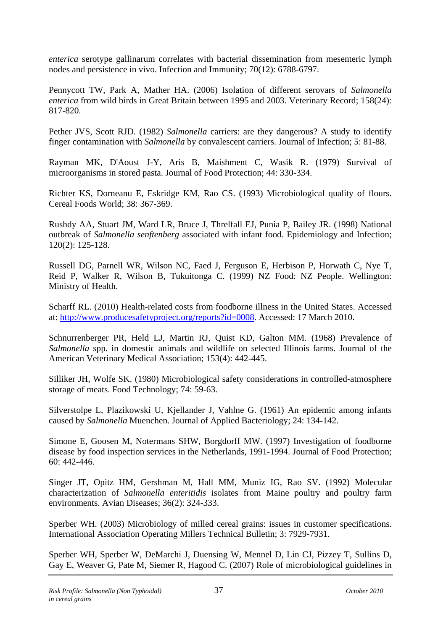*enterica* serotype gallinarum correlates with bacterial dissemination from mesenteric lymph nodes and persistence in vivo. Infection and Immunity; 70(12): 6788-6797.

Pennycott TW, Park A, Mather HA. (2006) Isolation of different serovars of *Salmonella enterica* from wild birds in Great Britain between 1995 and 2003. Veterinary Record; 158(24): 817-820.

Pether JVS, Scott RJD. (1982) *Salmonella* carriers: are they dangerous? A study to identify finger contamination with *Salmonella* by convalescent carriers. Journal of Infection; 5: 81-88.

Rayman MK, D'Aoust J-Y, Aris B, Maishment C, Wasik R. (1979) Survival of microorganisms in stored pasta. Journal of Food Protection; 44: 330-334.

Richter KS, Dorneanu E, Eskridge KM, Rao CS. (1993) Microbiological quality of flours. Cereal Foods World; 38: 367-369.

Rushdy AA, Stuart JM, Ward LR, Bruce J, Threlfall EJ, Punia P, Bailey JR. (1998) National outbreak of *Salmonella senftenberg* associated with infant food. Epidemiology and Infection; 120(2): 125-128.

Russell DG, Parnell WR, Wilson NC, Faed J, Ferguson E, Herbison P, Horwath C, Nye T, Reid P, Walker R, Wilson B, Tukuitonga C. (1999) NZ Food: NZ People. Wellington: Ministry of Health.

Scharff RL. (2010) Health-related costs from foodborne illness in the United States. Accessed at: [http://www.producesafetyproject.org/reports?id=0008.](http://www.producesafetyproject.org/reports?id=0008) Accessed: 17 March 2010.

Schnurrenberger PR, Held LJ, Martin RJ, Quist KD, Galton MM. (1968) Prevalence of *Salmonella* spp. in domestic animals and wildlife on selected Illinois farms. Journal of the American Veterinary Medical Association; 153(4): 442-445.

Silliker JH, Wolfe SK. (1980) Microbiological safety considerations in controlled-atmosphere storage of meats. Food Technology; 74: 59-63.

Silverstolpe L, Plazikowski U, Kjellander J, Vahlne G. (1961) An epidemic among infants caused by *Salmonella* Muenchen. Journal of Applied Bacteriology; 24: 134-142.

Simone E, Goosen M, Notermans SHW, Borgdorff MW. (1997) Investigation of foodborne disease by food inspection services in the Netherlands, 1991-1994. Journal of Food Protection; 60: 442-446.

Singer JT, Opitz HM, Gershman M, Hall MM, Muniz IG, Rao SV. (1992) Molecular characterization of *Salmonella enteritidis* isolates from Maine poultry and poultry farm environments. Avian Diseases; 36(2): 324-333.

Sperber WH. (2003) Microbiology of milled cereal grains: issues in customer specifications. International Association Operating Millers Technical Bulletin; 3: 7929-7931.

Sperber WH, Sperber W, DeMarchi J, Duensing W, Mennel D, Lin CJ, Pizzey T, Sullins D, Gay E, Weaver G, Pate M, Siemer R, Hagood C. (2007) Role of microbiological guidelines in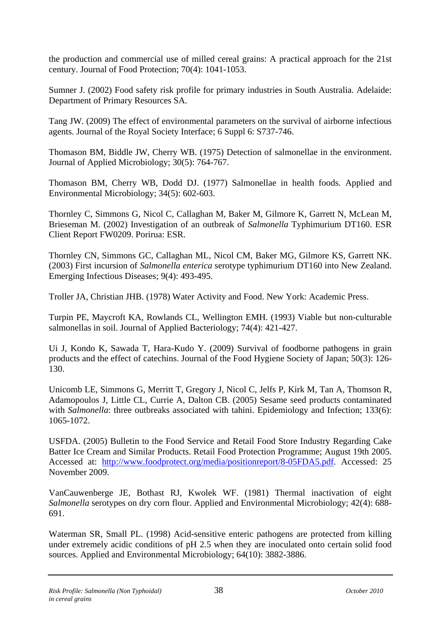the production and commercial use of milled cereal grains: A practical approach for the 21st century. Journal of Food Protection; 70(4): 1041-1053.

Sumner J. (2002) Food safety risk profile for primary industries in South Australia. Adelaide: Department of Primary Resources SA.

Tang JW. (2009) The effect of environmental parameters on the survival of airborne infectious agents. Journal of the Royal Society Interface; 6 Suppl 6: S737-746.

Thomason BM, Biddle JW, Cherry WB. (1975) Detection of salmonellae in the environment. Journal of Applied Microbiology; 30(5): 764-767.

Thomason BM, Cherry WB, Dodd DJ. (1977) Salmonellae in health foods. Applied and Environmental Microbiology; 34(5): 602-603.

Thornley C, Simmons G, Nicol C, Callaghan M, Baker M, Gilmore K, Garrett N, McLean M, Brieseman M. (2002) Investigation of an outbreak of *Salmonella* Typhimurium DT160. ESR Client Report FW0209. Porirua: ESR.

Thornley CN, Simmons GC, Callaghan ML, Nicol CM, Baker MG, Gilmore KS, Garrett NK. (2003) First incursion of *Salmonella enterica* serotype typhimurium DT160 into New Zealand. Emerging Infectious Diseases; 9(4): 493-495.

Troller JA, Christian JHB. (1978) Water Activity and Food. New York: Academic Press.

Turpin PE, Maycroft KA, Rowlands CL, Wellington EMH. (1993) Viable but non-culturable salmonellas in soil. Journal of Applied Bacteriology; 74(4): 421-427.

Ui J, Kondo K, Sawada T, Hara-Kudo Y. (2009) Survival of foodborne pathogens in grain products and the effect of catechins. Journal of the Food Hygiene Society of Japan; 50(3): 126- 130.

Unicomb LE, Simmons G, Merritt T, Gregory J, Nicol C, Jelfs P, Kirk M, Tan A, Thomson R, Adamopoulos J, Little CL, Currie A, Dalton CB. (2005) Sesame seed products contaminated with *Salmonella*: three outbreaks associated with tahini. Epidemiology and Infection; 133(6): 1065-1072.

USFDA. (2005) Bulletin to the Food Service and Retail Food Store Industry Regarding Cake Batter Ice Cream and Similar Products. Retail Food Protection Programme; August 19th 2005. Accessed at: [http://www.foodprotect.org/media/positionreport/8-05FDA5.pdf.](http://www.foodprotect.org/media/positionreport/8-05FDA5.pdf) Accessed: 25 November 2009.

VanCauwenberge JE, Bothast RJ, Kwolek WF. (1981) Thermal inactivation of eight *Salmonella* serotypes on dry corn flour. Applied and Environmental Microbiology; 42(4): 688- 691.

Waterman SR, Small PL. (1998) Acid-sensitive enteric pathogens are protected from killing under extremely acidic conditions of pH 2.5 when they are inoculated onto certain solid food sources. Applied and Environmental Microbiology; 64(10): 3882-3886.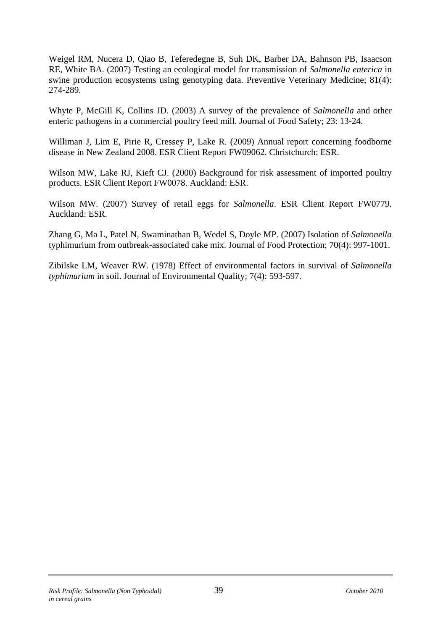Weigel RM, Nucera D, Qiao B, Teferedegne B, Suh DK, Barber DA, Bahnson PB, Isaacson RE, White BA. (2007) Testing an ecological model for transmission of *Salmonella enterica* in swine production ecosystems using genotyping data. Preventive Veterinary Medicine; 81(4): 274-289.

Whyte P, McGill K, Collins JD. (2003) A survey of the prevalence of *Salmonella* and other enteric pathogens in a commercial poultry feed mill. Journal of Food Safety; 23: 13-24.

Williman J, Lim E, Pirie R, Cressey P, Lake R. (2009) Annual report concerning foodborne disease in New Zealand 2008. ESR Client Report FW09062. Christchurch: ESR.

Wilson MW, Lake RJ, Kieft CJ. (2000) Background for risk assessment of imported poultry products. ESR Client Report FW0078. Auckland: ESR.

Wilson MW. (2007) Survey of retail eggs for *Salmonella*. ESR Client Report FW0779. Auckland: ESR.

Zhang G, Ma L, Patel N, Swaminathan B, Wedel S, Doyle MP. (2007) Isolation of *Salmonella*  typhimurium from outbreak-associated cake mix. Journal of Food Protection; 70(4): 997-1001.

Zibilske LM, Weaver RW. (1978) Effect of environmental factors in survival of *Salmonella typhimurium* in soil. Journal of Environmental Quality; 7(4): 593-597.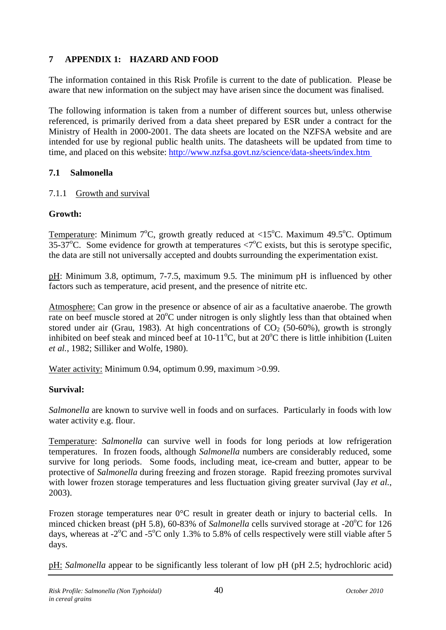## <span id="page-46-0"></span>**7 APPENDIX 1: HAZARD AND FOOD**

The information contained in this Risk Profile is current to the date of publication. Please be aware that new information on the subject may have arisen since the document was finalised.

The following information is taken from a number of different sources but, unless otherwise referenced, is primarily derived from a data sheet prepared by ESR under a contract for the Ministry of Health in 2000-2001. The data sheets are located on the NZFSA website and are intended for use by regional public health units. The datasheets will be updated from time to time, and placed on this website: http://www.nzfsa.govt.nz/science/data-sheets/index.htm

## **7.1 Salmonella**

#### 7.1.1 Growth and survival

## **Growth:**

Temperature: Minimum  $7^{\circ}$ C, growth greatly reduced at <15 $^{\circ}$ C. Maximum 49.5 $^{\circ}$ C. Optimum 35-37°C. Some evidence for growth at temperatures  $\langle 7^{\circ}$ C exists, but this is serotype specific, the data are still not universally accepted and doubts surrounding the experimentation exist.

pH: Minimum 3.8, optimum, 7-7.5, maximum 9.5. The minimum pH is influenced by other factors such as temperature, acid present, and the presence of nitrite etc.

Atmosphere: Can grow in the presence or absence of air as a facultative anaerobe. The growth rate on beef muscle stored at  $20^{\circ}$ C under nitrogen is only slightly less than that obtained when stored under air (Grau, 1983). At high concentrations of  $CO<sub>2</sub>$  (50-60%), growth is strongly inhibited on beef steak and minced beef at 10-11°C, but at 20°C there is little inhibition (Luiten *et al.*, 1982; Silliker and Wolfe, 1980).

Water activity: Minimum 0.94, optimum 0.99, maximum >0.99.

## **Survival:**

*Salmonella* are known to survive well in foods and on surfaces. Particularly in foods with low water activity e.g. flour.

Temperature: *Salmonella* can survive well in foods for long periods at low refrigeration temperatures. In frozen foods, although *Salmonella* numbers are considerably reduced, some survive for long periods. Some foods, including meat, ice-cream and butter, appear to be protective of *Salmonella* during freezing and frozen storage. Rapid freezing promotes survival with lower frozen storage temperatures and less fluctuation giving greater survival (Jay *et al.*, 2003).

Frozen storage temperatures near  $0^{\circ}$ C result in greater death or injury to bacterial cells. In minced chicken breast (pH 5.8), 60-83% of *Salmonella* cells survived storage at -20°C for 126 days, whereas at -2 $^{\circ}$ C and -5 $^{\circ}$ C only 1.3% to 5.8% of cells respectively were still viable after 5 days.

pH: *Salmonella* appear to be significantly less tolerant of low pH (pH 2.5; hydrochloric acid)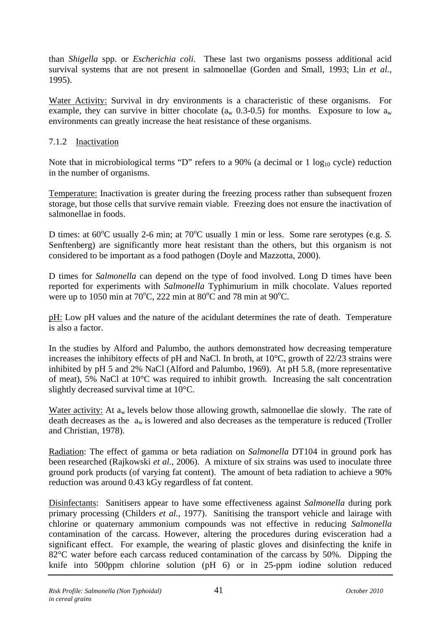<span id="page-47-0"></span>than *Shigella* spp. or *Escherichia coli*. These last two organisms possess additional acid survival systems that are not present in salmonellae (Gorden and Small, 1993; Lin *et al.*, 1995).

Water Activity: Survival in dry environments is a characteristic of these organisms. For example, they can survive in bitter chocolate ( $a_w$  0.3-0.5) for months. Exposure to low  $a_w$ environments can greatly increase the heat resistance of these organisms.

## 7.1.2 Inactivation

Note that in microbiological terms "D" refers to a 90% (a decimal or  $1 \log_{10}$  cycle) reduction in the number of organisms.

Temperature: Inactivation is greater during the freezing process rather than subsequent frozen storage, but those cells that survive remain viable. Freezing does not ensure the inactivation of salmonellae in foods.

D times: at 60°C usually 2-6 min; at 70°C usually 1 min or less. Some rare serotypes (e.g. S. Senftenberg) are significantly more heat resistant than the others, but this organism is not considered to be important as a food pathogen (Doyle and Mazzotta, 2000).

D times for *Salmonella* can depend on the type of food involved. Long D times have been reported for experiments with *Salmonella* Typhimurium in milk chocolate. Values reported were up to 1050 min at 70°C, 222 min at 80°C and 78 min at 90°C.

pH: Low pH values and the nature of the acidulant determines the rate of death. Temperature is also a factor.

In the studies by Alford and Palumbo, the authors demonstrated how decreasing temperature increases the inhibitory effects of pH and NaCl. In broth, at 10°C, growth of 22/23 strains were inhibited by pH 5 and 2% NaCl (Alford and Palumbo, 1969). At pH 5.8, (more representative of meat), 5% NaCl at 10°C was required to inhibit growth. Increasing the salt concentration slightly decreased survival time at 10°C.

Water activity: At  $a_w$  levels below those allowing growth, salmonellae die slowly. The rate of death decreases as the  $a_w$  is lowered and also decreases as the temperature is reduced (Troller and Christian, 1978).

Radiation: The effect of gamma or beta radiation on *Salmonella* DT104 in ground pork has been researched (Rajkowski *et al.*, 2006). A mixture of six strains was used to inoculate three ground pork products (of varying fat content). The amount of beta radiation to achieve a 90% reduction was around 0.43 kGy regardless of fat content.

Disinfectants: Sanitisers appear to have some effectiveness against *Salmonella* during pork primary processing (Childers *et al.*, 1977). Sanitising the transport vehicle and lairage with chlorine or quaternary ammonium compounds was not effective in reducing *Salmonella*  contamination of the carcass. However, altering the procedures during evisceration had a significant effect. For example, the wearing of plastic gloves and disinfecting the knife in 82<sup>°</sup>C water before each carcass reduced contamination of the carcass by 50%. Dipping the knife into 500ppm chlorine solution (pH 6) or in 25-ppm iodine solution reduced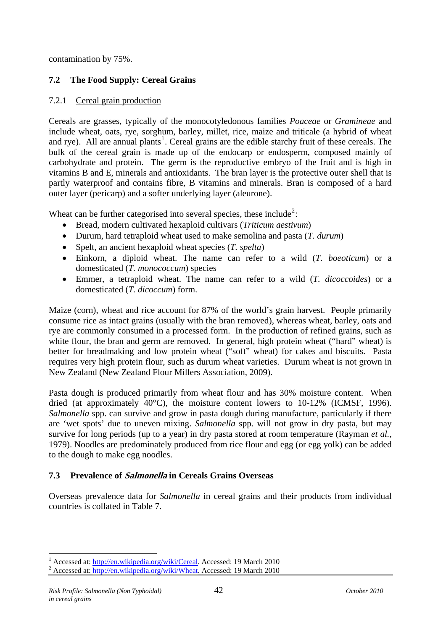<span id="page-48-0"></span>contamination by 75%.

## **7.2 The Food Supply: Cereal Grains**

## 7.2.1 Cereal grain production

Cereals are grasses, typically of the monocotyledonous families *Poaceae* or *Gramineae* and include wheat, oats, rye, sorghum, barley, millet, rice, maize and triticale (a hybrid of wheat and rye). All are annual plants<sup>[1](#page-48-0)</sup>. Cereal grains are the edible starchy fruit of these cereals. The bulk of the cereal grain is made up of the endocarp or endosperm, composed mainly of carbohydrate and protein. The germ is the reproductive embryo of the fruit and is high in vitamins B and E, minerals and antioxidants. The bran layer is the protective outer shell that is partly waterproof and contains fibre, B vitamins and minerals. Bran is composed of a hard outer layer (pericarp) and a softer underlying layer (aleurone).

Wheat can be further categorised into several species, these include<sup>[2](#page-48-0)</sup>:

- Bread, modern cultivated hexaploid cultivars (*Triticum aestivum*)
- Durum, hard tetraploid wheat used to make semolina and pasta (*T. durum*)
- Spelt, an ancient hexaploid wheat species (*T. spelta*)
- Einkorn, a diploid wheat. The name can refer to a wild (*T. boeoticum*) or a domesticated (*T. monococcum*) species
- Emmer, a tetraploid wheat. The name can refer to a wild (*T. dicoccoides*) or a domesticated (*T. dicoccum*) form.

Maize (corn), wheat and rice account for 87% of the world's grain harvest. People primarily consume rice as intact grains (usually with the bran removed), whereas wheat, barley, oats and rye are commonly consumed in a processed form. In the production of refined grains, such as white flour, the bran and germ are removed. In general, high protein wheat ("hard" wheat) is better for breadmaking and low protein wheat ("soft" wheat) for cakes and biscuits. Pasta requires very high protein flour, such as durum wheat varieties. Durum wheat is not grown in New Zealand (New Zealand Flour Millers Association, 2009).

Pasta dough is produced primarily from wheat flour and has 30% moisture content. When dried (at approximately 40°C), the moisture content lowers to 10-12% (ICMSF, 1996). *Salmonella* spp. can survive and grow in pasta dough during manufacture, particularly if there are 'wet spots' due to uneven mixing. *Salmonella* spp. will not grow in dry pasta, but may survive for long periods (up to a year) in dry pasta stored at room temperature (Rayman *et al.*, 1979). Noodles are predominately produced from rice flour and egg (or egg yolk) can be added to the dough to make egg noodles.

#### **7.3 Prevalence of Salmonella in Cereals Grains Overseas**

Overseas prevalence data for *Salmonella* in cereal grains and their products from individual countries is collated in [Table 7.](#page-49-1)

1

<sup>1</sup> Accessed at: <http://en.wikipedia.org/wiki/Cereal>. Accessed: 19 March 2010

<sup>&</sup>lt;sup>2</sup> Accessed at: <http://en.wikipedia.org/wiki/Wheat>. Accessed: 19 March 2010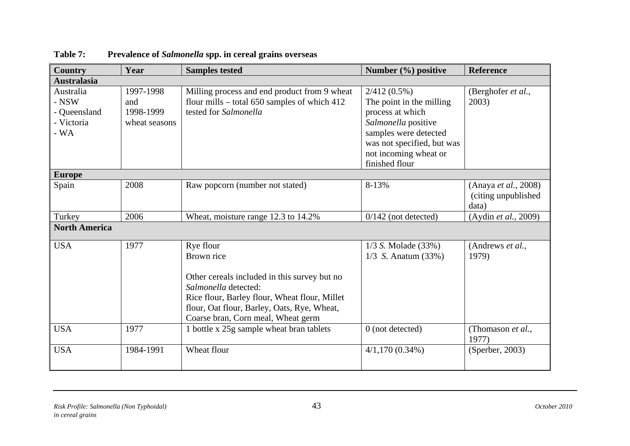<span id="page-49-1"></span><span id="page-49-0"></span>

| Country                                                     | Year                                           | <b>Samples tested</b>                                                                                                                                                                                                                 | Number (%) positive                                                                                                                                                                     | <b>Reference</b>                                      |
|-------------------------------------------------------------|------------------------------------------------|---------------------------------------------------------------------------------------------------------------------------------------------------------------------------------------------------------------------------------------|-----------------------------------------------------------------------------------------------------------------------------------------------------------------------------------------|-------------------------------------------------------|
| <b>Australasia</b>                                          |                                                |                                                                                                                                                                                                                                       |                                                                                                                                                                                         |                                                       |
| Australia<br>$-$ NSW<br>- Queensland<br>- Victoria<br>$-WA$ | 1997-1998<br>and<br>1998-1999<br>wheat seasons | Milling process and end product from 9 wheat<br>flour mills - total 650 samples of which 412<br>tested for Salmonella                                                                                                                 | $2/412(0.5\%)$<br>The point in the milling<br>process at which<br>Salmonella positive<br>samples were detected<br>was not specified, but was<br>not incoming wheat or<br>finished flour | (Berghofer et al.,<br>2003)                           |
| <b>Europe</b>                                               |                                                |                                                                                                                                                                                                                                       |                                                                                                                                                                                         |                                                       |
| Spain                                                       | 2008                                           | Raw popcorn (number not stated)                                                                                                                                                                                                       | 8-13%                                                                                                                                                                                   | (Anaya et al., 2008)<br>(citing unpublished)<br>data) |
| Turkey                                                      | 2006                                           | Wheat, moisture range 12.3 to 14.2%                                                                                                                                                                                                   | $0/142$ (not detected)                                                                                                                                                                  | (Aydin et al., 2009)                                  |
| <b>North America</b>                                        |                                                |                                                                                                                                                                                                                                       |                                                                                                                                                                                         |                                                       |
| <b>USA</b>                                                  | 1977                                           | Rye flour<br>Brown rice<br>Other cereals included in this survey but no<br>Salmonella detected:<br>Rice flour, Barley flour, Wheat flour, Millet<br>flour, Oat flour, Barley, Oats, Rye, Wheat,<br>Coarse bran, Corn meal, Wheat germ | 1/3 S. Molade (33%)<br>$1/3$ S. Anatum (33%)                                                                                                                                            | (Andrews et al.,<br>1979)                             |
| <b>USA</b>                                                  | 1977                                           | 1 bottle x 25g sample wheat bran tablets                                                                                                                                                                                              | $0$ (not detected)                                                                                                                                                                      | (Thomason et al.,<br>1977)                            |
| <b>USA</b>                                                  | 1984-1991                                      | Wheat flour                                                                                                                                                                                                                           | $4/1,170(0.34\%)$                                                                                                                                                                       | (Sperber, 2003)                                       |

## **Table 7: Prevalence of** *Salmonella* **spp. in cereal grains overseas**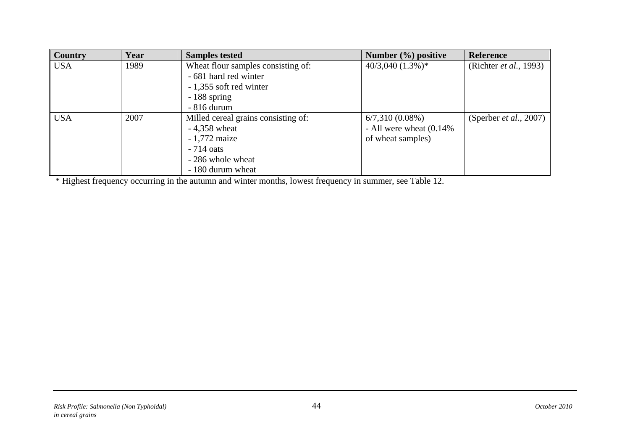| Country    | Year | <b>Samples tested</b>               | Number $(\% )$ positive    | <b>Reference</b>               |
|------------|------|-------------------------------------|----------------------------|--------------------------------|
| <b>USA</b> | 1989 | Wheat flour samples consisting of:  | $40/3,040$ $(1.3\%)*$      | (Richter <i>et al.</i> , 1993) |
|            |      | - 681 hard red winter               |                            |                                |
|            |      | - 1,355 soft red winter             |                            |                                |
|            |      | $-188$ spring                       |                            |                                |
|            |      | $-816$ durum                        |                            |                                |
| <b>USA</b> | 2007 | Milled cereal grains consisting of: | $6/7,310(0.08\%)$          | (Sperber <i>et al.</i> , 2007) |
|            |      | $-4,358$ wheat                      | - All were wheat $(0.14\%$ |                                |
|            |      | $-1,772$ maize                      | of wheat samples)          |                                |
|            |      | $-714 \text{ oats}$                 |                            |                                |
|            |      | - 286 whole wheat                   |                            |                                |
|            |      | - 180 durum wheat                   |                            |                                |

\* Highest frequency occurring in the autumn and winter months, lowest frequency in summer, see Table 12.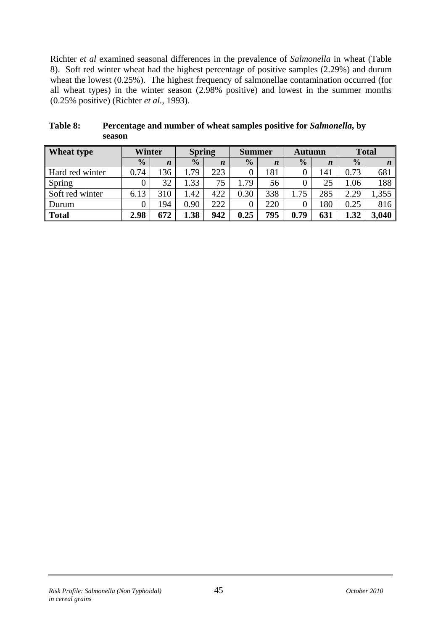<span id="page-51-0"></span>Richter *et al* examined seasonal differences in the prevalence of *Salmonella* in wheat ([Table](#page-51-1)  [8](#page-51-1)). Soft red winter wheat had the highest percentage of positive samples (2.29%) and durum wheat the lowest (0.25%). The highest frequency of salmonellae contamination occurred (for all wheat types) in the winter season (2.98% positive) and lowest in the summer months (0.25% positive) (Richter *et al.*, 1993).

| <b>Wheat type</b> | Winter        |                  | <b>Spring</b> |                  | <b>Summer</b> |                  | <b>Autumn</b> |                  |               | <b>Total</b>     |
|-------------------|---------------|------------------|---------------|------------------|---------------|------------------|---------------|------------------|---------------|------------------|
|                   | $\frac{1}{2}$ | $\boldsymbol{n}$ | $\frac{0}{0}$ | $\boldsymbol{n}$ | $\frac{0}{0}$ | $\boldsymbol{n}$ | $\frac{0}{0}$ | $\boldsymbol{n}$ | $\frac{0}{0}$ | $\boldsymbol{n}$ |
| Hard red winter   | 0.74          | 36               | .79           | 223              |               | 181              |               | l41              | 0.73          | 681              |
| Spring            |               | 32               | .33           | 75               | .79           | 56               |               | 25               | 1.06          | 188              |
| Soft red winter   | 6.13          | 310              | .42           | 422              | 0.30          | 338              | 1.75          | 285              | 2.29          | 1,355            |
| Durum             |               | 94               | 0.90          | 222              |               | 220              |               | 180              | 0.25          | 816              |
| <b>Total</b>      | 2.98          | 672              | 1.38          | 942              | 0.25          | 795              | 0.79          | 631              | 1.32          | 3,040            |

<span id="page-51-1"></span>

| Table 8: | Percentage and number of wheat samples positive for Salmonella, by |
|----------|--------------------------------------------------------------------|
|          | season                                                             |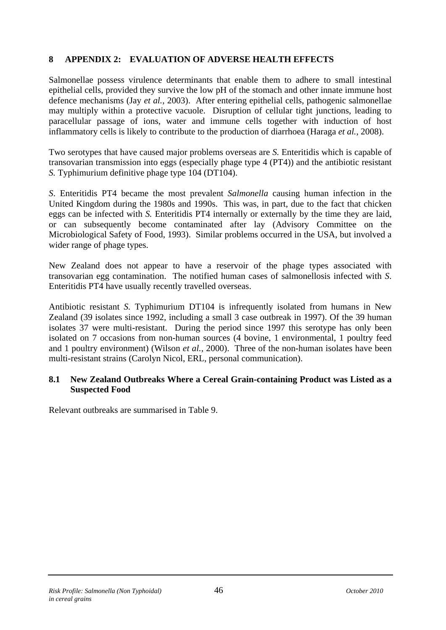## <span id="page-52-0"></span>**8 APPENDIX 2: EVALUATION OF ADVERSE HEALTH EFFECTS**

Salmonellae possess virulence determinants that enable them to adhere to small intestinal epithelial cells, provided they survive the low pH of the stomach and other innate immune host defence mechanisms (Jay *et al.*, 2003). After entering epithelial cells, pathogenic salmonellae may multiply within a protective vacuole. Disruption of cellular tight junctions, leading to paracellular passage of ions, water and immune cells together with induction of host inflammatory cells is likely to contribute to the production of diarrhoea (Haraga *et al.*, 2008).

Two serotypes that have caused major problems overseas are *S.* Enteritidis which is capable of transovarian transmission into eggs (especially phage type 4 (PT4)) and the antibiotic resistant *S.* Typhimurium definitive phage type 104 (DT104).

*S*. Enteritidis PT4 became the most prevalent *Salmonella* causing human infection in the United Kingdom during the 1980s and 1990s. This was, in part, due to the fact that chicken eggs can be infected with *S.* Enteritidis PT4 internally or externally by the time they are laid, or can subsequently become contaminated after lay (Advisory Committee on the Microbiological Safety of Food, 1993). Similar problems occurred in the USA, but involved a wider range of phage types.

New Zealand does not appear to have a reservoir of the phage types associated with transovarian egg contamination. The notified human cases of salmonellosis infected with *S*. Enteritidis PT4 have usually recently travelled overseas.

Antibiotic resistant *S.* Typhimurium DT104 is infrequently isolated from humans in New Zealand (39 isolates since 1992, including a small 3 case outbreak in 1997). Of the 39 human isolates 37 were multi-resistant. During the period since 1997 this serotype has only been isolated on 7 occasions from non-human sources (4 bovine, 1 environmental, 1 poultry feed and 1 poultry environment) (Wilson *et al.*, 2000). Three of the non-human isolates have been multi-resistant strains (Carolyn Nicol, ERL, personal communication).

#### **8.1 New Zealand Outbreaks Where a Cereal Grain-containing Product was Listed as a Suspected Food**

Relevant outbreaks are summarised in Table 9.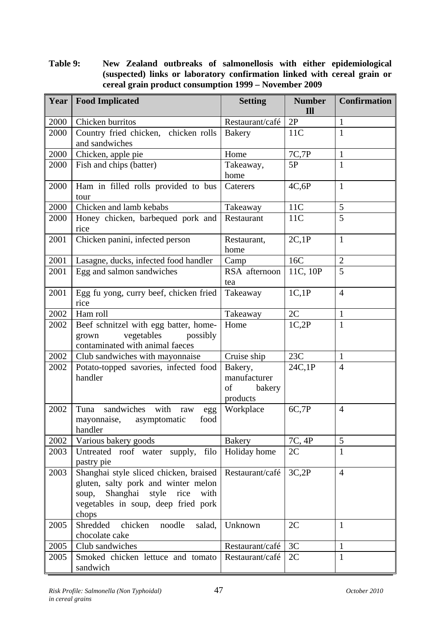<span id="page-53-0"></span>**Table 9: New Zealand outbreaks of salmonellosis with either epidemiological (suspected) links or laboratory confirmation linked with cereal grain or cereal grain product consumption 1999 – November 2009** 

| Year | <b>Food Implicated</b>                                                                                                                                                      | <b>Setting</b>                                      | <b>Number</b><br>Ill | <b>Confirmation</b> |
|------|-----------------------------------------------------------------------------------------------------------------------------------------------------------------------------|-----------------------------------------------------|----------------------|---------------------|
| 2000 | Chicken burritos                                                                                                                                                            | Restaurant/café                                     | 2P                   | 1                   |
| 2000 | Country fried chicken, chicken rolls<br>and sandwiches                                                                                                                      | <b>Bakery</b>                                       | 11C                  | 1                   |
| 2000 | Chicken, apple pie                                                                                                                                                          | Home                                                | 7C,7P                | 1                   |
| 2000 | Fish and chips (batter)                                                                                                                                                     | Takeaway,<br>home                                   | 5P                   | 1                   |
| 2000 | Ham in filled rolls provided to bus<br>tour                                                                                                                                 | Caterers                                            | 4C,6P                | $\mathbf{1}$        |
| 2000 | Chicken and lamb kebabs                                                                                                                                                     | Takeaway                                            | 11C                  | $\mathfrak{S}$      |
| 2000 | Honey chicken, barbequed pork and<br>rice                                                                                                                                   | Restaurant                                          | 11C                  | 5                   |
| 2001 | Chicken panini, infected person                                                                                                                                             | Restaurant,<br>home                                 | 2C,1P                | $\mathbf{1}$        |
| 2001 | Lasagne, ducks, infected food handler                                                                                                                                       | Camp                                                | 16C                  | $\mathbf{2}$        |
| 2001 | Egg and salmon sandwiches                                                                                                                                                   | RSA afternoon<br>tea                                | 11C, 10P             | 5                   |
| 2001 | Egg fu yong, curry beef, chicken fried<br>rice                                                                                                                              | Takeaway                                            | 1C,1P                | $\overline{4}$      |
| 2002 | Ham roll                                                                                                                                                                    | Takeaway                                            | 2C                   | $\mathbf{1}$        |
| 2002 | Beef schnitzel with egg batter, home-<br>vegetables<br>possibly<br>grown<br>contaminated with animal faeces                                                                 | Home                                                | 1C,2P                | $\mathbf{1}$        |
| 2002 | Club sandwiches with mayonnaise                                                                                                                                             | Cruise ship                                         | 23C                  | $\mathbf{1}$        |
| 2002 | Potato-topped savories, infected food<br>handler                                                                                                                            | Bakery,<br>manufacturer<br>οf<br>bakery<br>products | 24C,1P               | $\overline{4}$      |
| 2002 | sandwiches<br>with<br>Tuna<br>raw<br>egg<br>asymptomatic<br>food<br>mayonnaise,<br>handler                                                                                  | Workplace                                           | 6C,7P                | $\overline{4}$      |
| 2002 | Various bakery goods                                                                                                                                                        | <b>Bakery</b>                                       | 7C, 4P               | 5                   |
| 2003 | filo<br>Untreated roof water supply,<br>pastry pie                                                                                                                          | Holiday home                                        | 2C                   | 1                   |
| 2003 | Shanghai style sliced chicken, braised<br>gluten, salty pork and winter melon<br>Shanghai<br>style<br>rice<br>with<br>soup,<br>vegetables in soup, deep fried pork<br>chops | Restaurant/café                                     | 3C,2P                | $\overline{4}$      |
| 2005 | Shredded<br>chicken<br>noodle<br>salad,<br>chocolate cake                                                                                                                   | Unknown                                             | 2C                   | 1                   |
| 2005 | Club sandwiches                                                                                                                                                             | Restaurant/café                                     | 3C                   | $\mathbf{1}$        |
| 2005 | Smoked chicken lettuce and tomato<br>sandwich                                                                                                                               | Restaurant/café                                     | 2C                   | $\mathbf{1}$        |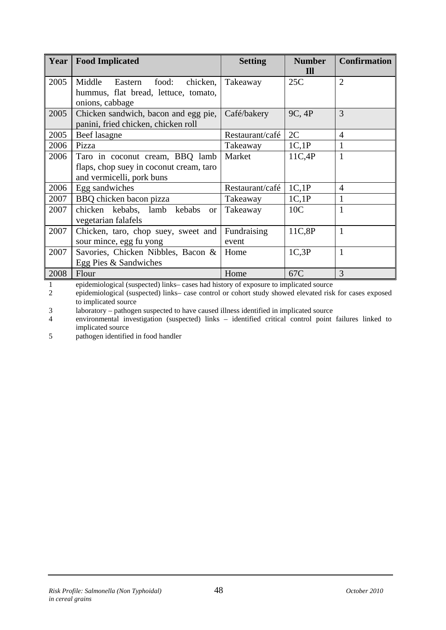| Year | <b>Food Implicated</b>                                                                                  | <b>Setting</b>       | <b>Number</b><br>I <sub>II</sub> | <b>Confirmation</b> |
|------|---------------------------------------------------------------------------------------------------------|----------------------|----------------------------------|---------------------|
| 2005 | Middle<br>food:<br>chicken,<br>Eastern<br>hummus, flat bread, lettuce, tomato,<br>onions, cabbage       | Takeaway             | 25C                              | $\overline{2}$      |
| 2005 | Chicken sandwich, bacon and egg pie,<br>panini, fried chicken, chicken roll                             | Café/bakery          | 9C, 4P                           | 3                   |
| 2005 | Beef lasagne                                                                                            | Restaurant/café      | 2C                               | 4                   |
| 2006 | Pizza                                                                                                   | Takeaway             | 1C,1P                            |                     |
| 2006 | Taro in coconut cream, BBQ lamb<br>flaps, chop suey in coconut cream, taro<br>and vermicelli, pork buns | Market               | 11C,4P                           |                     |
| 2006 | Egg sandwiches                                                                                          | Restaurant/café      | 1C,1P                            | $\overline{4}$      |
| 2007 | BBQ chicken bacon pizza                                                                                 | Takeaway             | 1C,1P                            |                     |
| 2007 | chicken kebabs, lamb kebabs or<br>vegetarian falafels                                                   | Takeaway             | 10 <sub>C</sub>                  |                     |
| 2007 | Chicken, taro, chop suey, sweet and<br>sour mince, egg fu yong                                          | Fundraising<br>event | 11C,8P                           | 1                   |
| 2007 | Savories, Chicken Nibbles, Bacon &<br>Egg Pies & Sandwiches                                             | Home                 | 1C,3P                            | 1                   |
| 2008 | Flour                                                                                                   | Home                 | 67C                              | 3                   |

1 epidemiological (suspected) links– cases had history of exposure to implicated source

2 epidemiological (suspected) links– case control or cohort study showed elevated risk for cases exposed to implicated source

3 laboratory – pathogen suspected to have caused illness identified in implicated source

4 environmental investigation (suspected) links – identified critical control point failures linked to implicated source

5 pathogen identified in food handler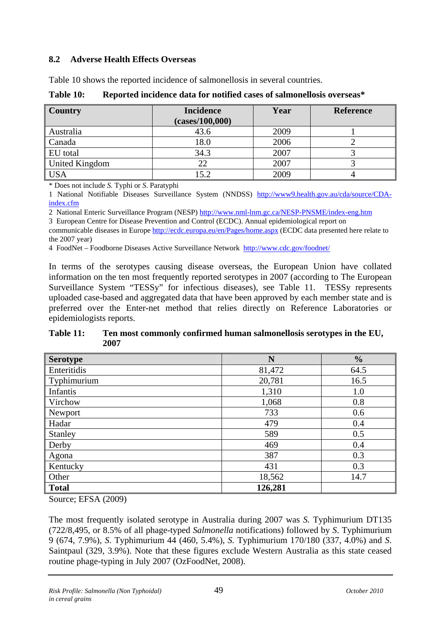## <span id="page-55-0"></span>**8.2 Adverse Health Effects Overseas**

[Table 10](#page-55-1) shows the reported incidence of salmonellosis in several countries.

<span id="page-55-1"></span>

| Country        | <b>Incidence</b><br>(cases/100,000) | Year | <b>Reference</b> |
|----------------|-------------------------------------|------|------------------|
| Australia      | 43.6                                | 2009 |                  |
| Canada         | 18.0                                | 2006 |                  |
| EU total       | 34.3                                | 2007 |                  |
| United Kingdom | 22                                  | 2007 |                  |
| <b>USA</b>     | 15.2                                | 2009 |                  |

**Table 10: Reported incidence data for notified cases of salmonellosis overseas\*** 

\* Does not include *S.* Typhi or *S*. Paratyphi

1 National Notifiable Diseases Surveillance System (NNDSS) [http://www9.health.gov.au/cda/source/CDA](http://www9.health.gov.au/cda/source/CDA-index.cfm)[index.cfm](http://www9.health.gov.au/cda/source/CDA-index.cfm)

2 National Enteric Surveillance Program (NESP) <http://www.nml-lnm.gc.ca/NESP-PNSME/index-eng.htm>

3 European Centre for Disease Prevention and Control (ECDC). Annual epidemiological report on

communicable diseases in Europe <http://ecdc.europa.eu/en/Pages/home.aspx>(ECDC data presented here relate to the 2007 year)

4 FoodNet – Foodborne Diseases Active Surveillance Network <http://www.cdc.gov/foodnet/>

In terms of the serotypes causing disease overseas, the European Union have collated information on the ten most frequently reported serotypes in 2007 (according to The European Surveillance System "TESSy" for infectious diseases), see [Table 11.](#page-55-2) TESSy represents uploaded case-based and aggregated data that have been approved by each member state and is preferred over the Enter-net method that relies directly on Reference Laboratories or epidemiologists reports.

<span id="page-55-2"></span>**Table 11: Ten most commonly confirmed human salmonellosis serotypes in the EU, 2007** 

| <b>Serotype</b> | N       | $\frac{0}{0}$ |
|-----------------|---------|---------------|
| Enteritidis     | 81,472  | 64.5          |
| Typhimurium     | 20,781  | 16.5          |
| Infantis        | 1,310   | 1.0           |
| <b>Virchow</b>  | 1,068   | 0.8           |
| Newport         | 733     | 0.6           |
| Hadar           | 479     | 0.4           |
| Stanley         | 589     | 0.5           |
| Derby           | 469     | 0.4           |
| Agona           | 387     | 0.3           |
| Kentucky        | 431     | 0.3           |
| Other           | 18,562  | 14.7          |
| Total           | 126,281 |               |

Source; EFSA (2009)

The most frequently isolated serotype in Australia during 2007 was *S.* Typhimurium DT135 (722/8,495, or 8.5% of all phage-typed *Salmonella* notifications) followed by *S*. Typhimurium 9 (674, 7.9%), *S*. Typhimurium 44 (460, 5.4%), *S.* Typhimurium 170/180 (337, 4.0%) and *S*. Saintpaul (329, 3.9%). Note that these figures exclude Western Australia as this state ceased routine phage-typing in July 2007 (OzFoodNet, 2008).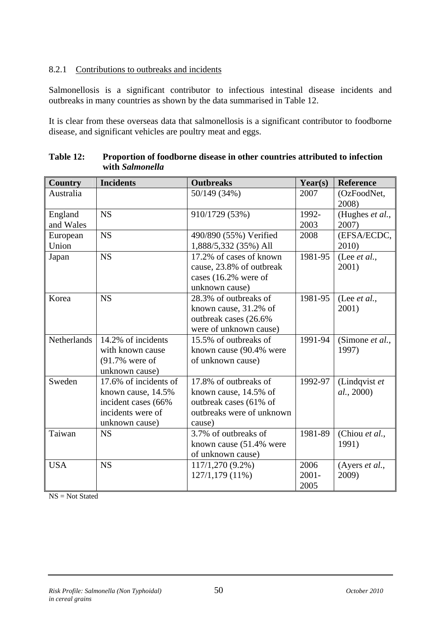#### <span id="page-56-0"></span>8.2.1 Contributions to outbreaks and incidents

Salmonellosis is a significant contributor to infectious intestinal disease incidents and outbreaks in many countries as shown by the data summarised in Table 12.

It is clear from these overseas data that salmonellosis is a significant contributor to foodborne disease, and significant vehicles are poultry meat and eggs.

| <b>Country</b>       | <b>Incidents</b>                                                                                          | <b>Outbreaks</b>                                                                                                | Year(s)                  | Reference                     |
|----------------------|-----------------------------------------------------------------------------------------------------------|-----------------------------------------------------------------------------------------------------------------|--------------------------|-------------------------------|
| Australia            |                                                                                                           | 50/149 (34%)                                                                                                    | 2007                     | (OzFoodNet,<br>2008)          |
| England<br>and Wales | <b>NS</b>                                                                                                 | 910/1729 (53%)                                                                                                  | 1992-<br>2003            | (Hughes et al.,<br>2007)      |
| European<br>Union    | <b>NS</b>                                                                                                 | 490/890 (55%) Verified<br>1,888/5,332 (35%) All                                                                 | 2008                     | (EFSA/ECDC,<br>2010)          |
| Japan                | <b>NS</b>                                                                                                 | 17.2% of cases of known<br>cause, 23.8% of outbreak<br>cases (16.2% were of<br>unknown cause)                   | 1981-95                  | (Lee $et al.,$<br>2001)       |
| Korea                | <b>NS</b>                                                                                                 | 28.3% of outbreaks of<br>known cause, 31.2% of<br>outbreak cases (26.6%)<br>were of unknown cause)              | 1981-95                  | (Lee <i>et al.</i> ,<br>2001) |
| Netherlands          | 14.2% of incidents<br>with known cause<br>$(91.7\%$ were of<br>unknown cause)                             | 15.5% of outbreaks of<br>known cause (90.4% were<br>of unknown cause)                                           | 1991-94                  | (Simone et al.,<br>1997)      |
| Sweden               | 17.6% of incidents of<br>known cause, 14.5%<br>incident cases (66%<br>incidents were of<br>unknown cause) | 17.8% of outbreaks of<br>known cause, 14.5% of<br>outbreak cases (61% of<br>outbreaks were of unknown<br>cause) | 1992-97                  | (Lindqvist et<br>al., 2000)   |
| Taiwan               | <b>NS</b>                                                                                                 | 3.7% of outbreaks of<br>known cause (51.4% were<br>of unknown cause)                                            | 1981-89                  | (Chiou et al.,<br>1991)       |
| <b>USA</b>           | <b>NS</b>                                                                                                 | 117/1,270 (9.2%)<br>127/1,179 (11%)                                                                             | 2006<br>$2001 -$<br>2005 | (Ayers et al.,<br>2009)       |

| Table 12: | Proportion of foodborne disease in other countries attributed to infection |
|-----------|----------------------------------------------------------------------------|
|           | with Salmonella                                                            |

 $NS = Not State$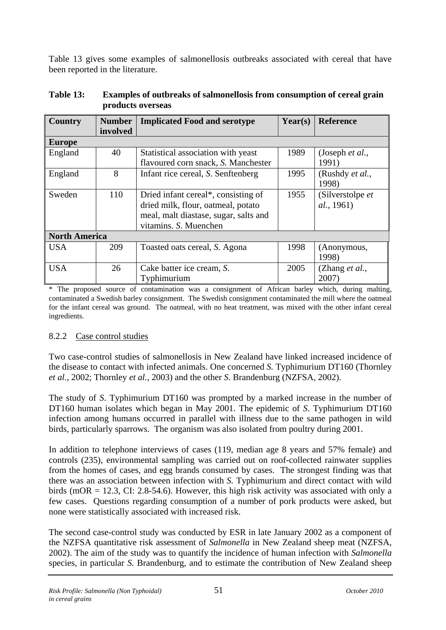<span id="page-57-0"></span>[Table 13](#page-57-1) gives some examples of salmonellosis outbreaks associated with cereal that have been reported in the literature.

| <b>Country</b>       | <b>Number</b><br>involved | <b>Implicated Food and serotype</b>                                                                                                         | Year(s) | <b>Reference</b>                 |
|----------------------|---------------------------|---------------------------------------------------------------------------------------------------------------------------------------------|---------|----------------------------------|
| <b>Europe</b>        |                           |                                                                                                                                             |         |                                  |
| England              | 40                        | Statistical association with yeast<br>flavoured corn snack, S. Manchester                                                                   | 1989    | (Joseph <i>et al.</i> ,<br>1991) |
| England              | 8                         | Infant rice cereal, S. Senftenberg                                                                                                          | 1995    | (Rushdy et al.,<br>1998)         |
| Sweden               | 110                       | Dried infant cereal*, consisting of<br>dried milk, flour, oatmeal, potato<br>meal, malt diastase, sugar, salts and<br>vitamins. S. Muenchen | 1955    | (Silverstolpe et<br>al., 1961)   |
| <b>North America</b> |                           |                                                                                                                                             |         |                                  |
| <b>USA</b>           | 209                       | Toasted oats cereal, S. Agona                                                                                                               | 1998    | (Anonymous,<br>1998)             |
| <b>USA</b>           | 26                        | Cake batter ice cream, S.<br>Typhimurium                                                                                                    | 2005    | (Zhang <i>et al.</i> ,<br>2007   |

<span id="page-57-1"></span>

| <b>Table 13:</b> | <b>Examples of outbreaks of salmonellosis from consumption of cereal grain</b> |
|------------------|--------------------------------------------------------------------------------|
|                  | products overseas                                                              |

\* The proposed source of contamination was a consignment of African barley which, during malting, contaminated a Swedish barley consignment. The Swedish consignment contaminated the mill where the oatmeal for the infant cereal was ground. The oatmeal, with no heat treatment, was mixed with the other infant cereal ingredients.

## 8.2.2 Case control studies

Two case-control studies of salmonellosis in New Zealand have linked increased incidence of the disease to contact with infected animals. One concerned *S.* Typhimurium DT160 (Thornley *et al.*, 2002; Thornley *et al.*, 2003) and the other *S*. Brandenburg (NZFSA, 2002).

The study of *S*. Typhimurium DT160 was prompted by a marked increase in the number of DT160 human isolates which began in May 2001. The epidemic of *S*. Typhimurium DT160 infection among humans occurred in parallel with illness due to the same pathogen in wild birds, particularly sparrows. The organism was also isolated from poultry during 2001.

In addition to telephone interviews of cases (119, median age 8 years and 57% female) and controls (235), environmental sampling was carried out on roof-collected rainwater supplies from the homes of cases, and egg brands consumed by cases. The strongest finding was that there was an association between infection with *S.* Typhimurium and direct contact with wild birds (mOR = 12.3, CI: 2.8-54.6). However, this high risk activity was associated with only a few cases. Questions regarding consumption of a number of pork products were asked, but none were statistically associated with increased risk.

The second case-control study was conducted by ESR in late January 2002 as a component of the NZFSA quantitative risk assessment of *Salmonella* in New Zealand sheep meat (NZFSA, 2002). The aim of the study was to quantify the incidence of human infection with *Salmonella*  species, in particular *S.* Brandenburg, and to estimate the contribution of New Zealand sheep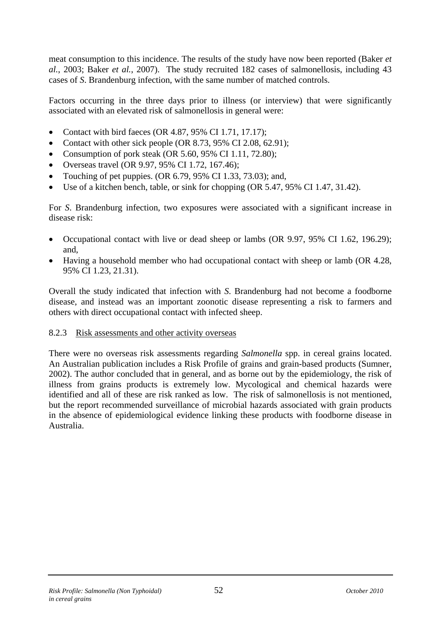<span id="page-58-0"></span>meat consumption to this incidence. The results of the study have now been reported (Baker *et al.*, 2003; Baker *et al.*, 2007). The study recruited 182 cases of salmonellosis, including 43 cases of *S*. Brandenburg infection, with the same number of matched controls.

Factors occurring in the three days prior to illness (or interview) that were significantly associated with an elevated risk of salmonellosis in general were:

- Contact with bird faeces (OR 4.87, 95% CI 1.71, 17.17);
- Contact with other sick people (OR 8.73, 95% CI 2.08, 62.91);
- Consumption of pork steak (OR 5.60, 95% CI 1.11, 72.80);
- Overseas travel (OR 9.97, 95% CI 1.72, 167.46);
- Touching of pet puppies. (OR 6.79, 95% CI 1.33, 73.03); and,
- Use of a kitchen bench, table, or sink for chopping (OR 5.47, 95% CI 1.47, 31.42).

For *S*. Brandenburg infection, two exposures were associated with a significant increase in disease risk:

- Occupational contact with live or dead sheep or lambs (OR 9.97, 95% CI 1.62, 196.29); and,
- Having a household member who had occupational contact with sheep or lamb (OR 4.28, 95% CI 1.23, 21.31).

Overall the study indicated that infection with *S*. Brandenburg had not become a foodborne disease, and instead was an important zoonotic disease representing a risk to farmers and others with direct occupational contact with infected sheep.

## 8.2.3 Risk assessments and other activity overseas

There were no overseas risk assessments regarding *Salmonella* spp. in cereal grains located. An Australian publication includes a Risk Profile of grains and grain-based products (Sumner, 2002). The author concluded that in general, and as borne out by the epidemiology, the risk of illness from grains products is extremely low. Mycological and chemical hazards were identified and all of these are risk ranked as low. The risk of salmonellosis is not mentioned, but the report recommended surveillance of microbial hazards associated with grain products in the absence of epidemiological evidence linking these products with foodborne disease in Australia.